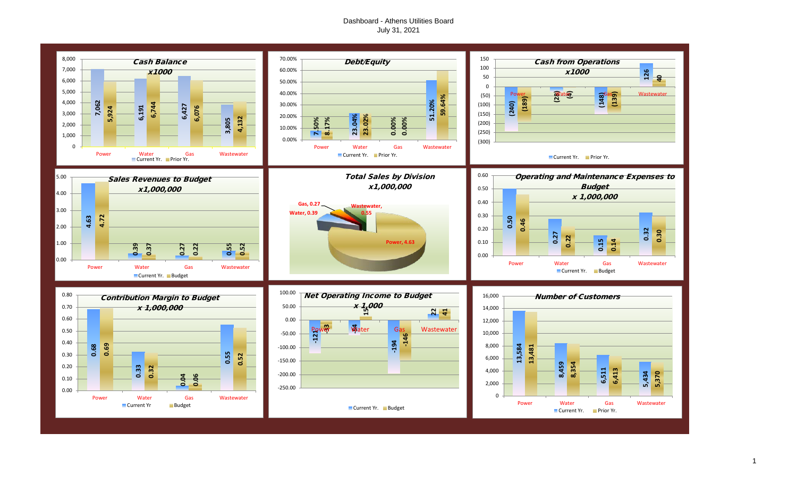## Dashboard - Athens Utilities Board July 31, 2021

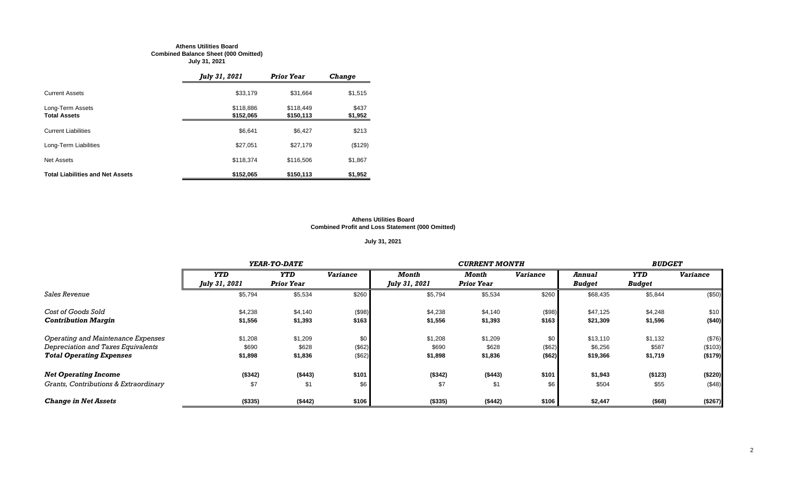#### **Athens Utilities Board Combined Balance Sheet (000 Omitted) July 31, 2021**

|                                         | July 31, 2021          | <b>Prior Year</b>      | <b>Change</b>    |
|-----------------------------------------|------------------------|------------------------|------------------|
| <b>Current Assets</b>                   | \$33,179               | \$31,664               | \$1,515          |
| Long-Term Assets<br><b>Total Assets</b> | \$118,886<br>\$152,065 | \$118.449<br>\$150,113 | \$437<br>\$1,952 |
| <b>Current Liabilities</b>              | \$6,641                | \$6.427                | \$213            |
| Long-Term Liabilities                   | \$27,051               | \$27,179               | (\$129)          |
| Net Assets                              | \$118,374              | \$116,506              | \$1,867          |
| <b>Total Liabilities and Net Assets</b> | \$152,065              | \$150,113              | \$1,952          |

#### **Athens Utilities Board Combined Profit and Loss Statement (000 Omitted)**

## **July 31, 2021**

|                                       |               | YEAR-TO-DATE      |                 |               | <b>CURRENT MONTH</b> |                 |               |            |                 |  |
|---------------------------------------|---------------|-------------------|-----------------|---------------|----------------------|-----------------|---------------|------------|-----------------|--|
|                                       | <b>YTD</b>    | <b>YTD</b>        | <b>Variance</b> | Month         | Month                | <b>Variance</b> | Annual        | <b>YTD</b> | <b>Variance</b> |  |
|                                       | July 31, 2021 | <b>Prior Year</b> |                 | July 31, 2021 | <b>Prior Year</b>    |                 | <b>Budget</b> | Budget     |                 |  |
| Sales Revenue                         | \$5,794       | \$5,534           | \$260           | \$5,794       | \$5,534              | \$260           | \$68,435      | \$5,844    | (\$50)          |  |
| Cost of Goods Sold                    | \$4,238       | \$4,140           | (\$98)          | \$4,238       | \$4,140              | (\$98)          | \$47,125      | \$4,248    | \$10            |  |
| <b>Contribution Margin</b>            | \$1,556       | \$1,393           | \$163           | \$1,556       | \$1,393              | \$163           | \$21,309      | \$1,596    | (\$40)          |  |
| Operating and Maintenance Expenses    | \$1,208       | \$1,209           | \$0             | \$1,208       | \$1,209              | \$0             | \$13,110      | \$1,132    | (\$76)          |  |
| Depreciation and Taxes Equivalents    | \$690         | \$628             | (\$62)          | \$690         | \$628                | (\$62)          | \$6,256       | \$587      | (\$103)         |  |
| <b>Total Operating Expenses</b>       | \$1,898       | \$1,836           | (\$62)          | \$1,898       | \$1,836              | ( \$62)         | \$19,366      | \$1,719    | (\$179)         |  |
| <b>Net Operating Income</b>           | (\$342)       | ( \$443)          | \$101           | (\$342)       | (\$443)              | \$101           | \$1,943       | (\$123)    | (\$220)         |  |
| Grants, Contributions & Extraordinary | \$7           | \$1               | \$6             | \$7           | \$1                  | \$6             | \$504         | \$55       | (\$48)          |  |
| <b>Change in Net Assets</b>           | ( \$335)      | (\$442)           | \$106           | (\$335)       | (\$442)              | \$106           | \$2,447       | (\$68)     | (\$267)         |  |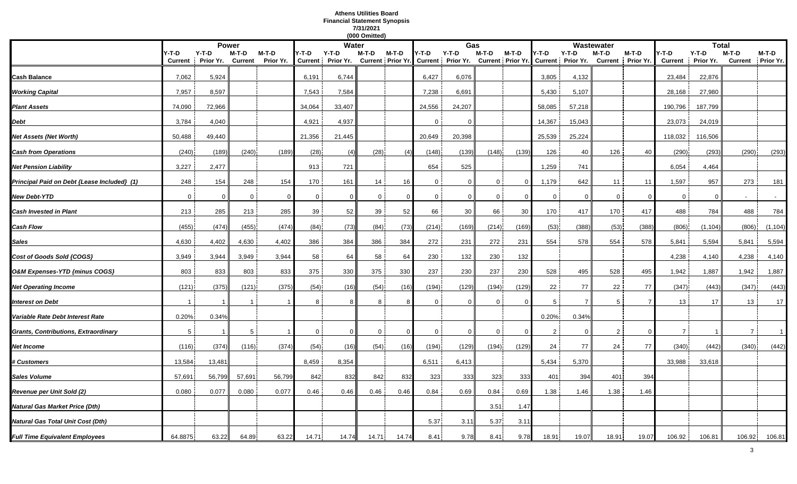## **Athens Utilities Board Financial Statement Synopsis 7/31/2021**

|                                             |                         |                      |                         |                    |                         |                      | (000 Omitted) |          |                |                                                |                |                            |                |                              |                         |                      |                         |                      |                |                            |
|---------------------------------------------|-------------------------|----------------------|-------------------------|--------------------|-------------------------|----------------------|---------------|----------|----------------|------------------------------------------------|----------------|----------------------------|----------------|------------------------------|-------------------------|----------------------|-------------------------|----------------------|----------------|----------------------------|
|                                             |                         |                      | <b>Power</b>            |                    |                         | Water                |               |          |                | Gas                                            |                |                            |                |                              | Wastewater              |                      |                         | <b>Total</b>         |                |                            |
|                                             | Y-T-D<br><b>Current</b> | $Y-T-D$<br>Prior Yr. | M-T-D<br><b>Current</b> | M-T-D<br>Prior Yr. | Y-T-D<br><b>Current</b> | $Y-T-D$<br>Prior Yr. | M-T-D         | $M-T-D$  | Y-T-D          | $Y-T-D$<br>Current Prior Yr. Current Prior Yr. | M-T-D          | M-T-D<br>Current Prior Yr. | /-T-D          | $Y-T-D$<br>Current Prior Yr. | M-T-D<br><b>Current</b> | $M-T-D$<br>Prior Yr. | Y-T-D<br><b>Current</b> | $Y-T-D$<br>Prior Yr. | M-T-D          | M-T-D<br>Current Prior Yr. |
| Cash Balance                                | 7,062                   | 5,924                |                         |                    | 6,191                   | 6,744                |               |          | 6,427          | 6,076                                          |                |                            | 3,805          | 4,132                        |                         |                      | 23,484                  | 22,876               |                |                            |
| <b>Working Capital</b>                      | 7,957                   | 8,597                |                         |                    | 7,543                   | 7,584                |               |          | 7,238          | 6,691                                          |                |                            | 5,430          | 5,107                        |                         |                      | 28,168                  | 27,980               |                |                            |
| <b>Plant Assets</b>                         | 74,090                  | 72,966               |                         |                    | 34,064                  | 33,407               |               |          | 24,556         | 24,207                                         |                |                            | 58,085         | 57,218                       |                         |                      | 190,796                 | 187,799              |                |                            |
| Debt                                        | 3,784                   | 4,040                |                         |                    | 4,921                   | 4,937                |               |          | $\mathbf{0}$   |                                                |                |                            | 14,367         | 15,043                       |                         |                      | 23,073                  | 24,019               |                |                            |
| Net Assets (Net Worth)                      | 50,488                  | 49,440               |                         |                    | 21,356                  | 21,445               |               |          | 20,649         | 20,398                                         |                |                            | 25,539         | 25,224                       |                         |                      | 118,032                 | 116,506              |                |                            |
| <b>Cash from Operations</b>                 | (240)                   | (189)                | (240)                   | (189)              | (28)                    | (4)                  | (28)          | (4)      | (148)          | (139)                                          | (148)          | (139)                      | 126            | 40                           | 126                     | 40                   | (290)                   | (293)                | (290)          | (293)                      |
| <b>Net Pension Liability</b>                | 3,227                   | 2,477                |                         |                    | 913                     | 721                  |               |          | 654            | 525                                            |                |                            | 1,259          | 741                          |                         |                      | 6,054                   | 4,464                |                |                            |
| Principal Paid on Debt {Lease Included} (1) | 248                     | 154                  | 248                     | 154                | 170                     | 161                  | 14            | 16       | $\mathbf{0}$   | $\Omega$                                       | $\mathbf{0}$   | $\Omega$                   | 1,179          | 642                          | 11                      | 11                   | 1,597                   | 957                  | 273            | 181                        |
| <b>New Debt-YTD</b>                         | $\mathbf{0}$            | $\mathbf 0$          | $\overline{0}$          | - 0                | $\mathbf{0}$            | $\mathbf 0$          | $\mathbf{0}$  | $\Omega$ | $\overline{0}$ | $\mathbf 0$                                    | $\overline{0}$ | $\Omega$                   | $\mathbf 0$    | $\Omega$                     | $\mathbf 0$             | $\Omega$             | $\overline{0}$          | $\Omega$             |                | $\sim$                     |
| <b>Cash Invested in Plant</b>               | 213                     | 285                  | 213                     | 285                | 39                      | 52                   | 39            | 52       | 66             | 30                                             | 66             | 30                         | 170            | 417                          | 170                     | 417                  | 488                     | 784                  | 488            | 784                        |
| Cash Flow                                   | (455)                   | (474)                | (455)                   | (474)              | (84)                    | (73)                 | (84)          | (73)     | (214)          | (169)                                          | (214)          | (169)                      | (53)           | (388)                        | (53)                    | (388)                | (806)                   | (1, 104)             | (806)          | (1, 104)                   |
| Sales                                       | 4,630                   | 4,402                | 4,630                   | 4,402              | 386                     | 384                  | 386           | 384      | 272            | 231                                            | 272            | 231                        | 554            | 578                          | 554                     | 578                  | 5,841                   | 5,594                | 5,841          | 5,594                      |
| Cost of Goods Sold {COGS}                   | 3,949                   | 3,944                | 3,949                   | 3,944              | 58                      | 64                   | 58            | 64       | 230            | 132                                            | 230            | 132                        |                |                              |                         |                      | 4,238                   | 4,140                | 4,238          | 4,140                      |
| O&M Expenses-YTD {minus COGS}               | 803                     | 833                  | 803                     | 833                | 375                     | 330                  | 375           | 330      | 237            | 230                                            | 237            | 230                        | 528            | 495                          | 528                     | 495                  | 1,942                   | 1,887                | 1,942          | 1,887                      |
| <b>Net Operating Income</b>                 | (121)                   | (375)                | (121)                   | (375)              | (54)                    | (16)                 | (54)          | (16)     | (194)          | (129)                                          | (194)          | (129)                      | 22             | 77                           | 22                      | 77                   | (347)                   | (443)                | (347)          | (443)                      |
| 'nterest on Debt                            |                         |                      |                         |                    | 8                       | 8                    | 8             |          | $\Omega$       | $\Omega$                                       | $\Omega$       | $\Omega$                   | 5              | $\overline{7}$               | 5                       | $\overline{7}$       | 13                      | 17                   | 13             | 17                         |
| Variable Rate Debt Interest Rate            | 0.20%                   | 0.34%                |                         |                    |                         |                      |               |          |                |                                                |                |                            | 0.20%          | 0.34%                        |                         |                      |                         |                      |                |                            |
| <b>Grants, Contributions, Extraordinary</b> | 5                       |                      | 5                       |                    | $\mathbf{0}$            | $\mathbf{0}$         | $\mathbf{0}$  | $\Omega$ | $\overline{0}$ | $\mathbf 0$                                    | $\mathbf 0$    | $\overline{0}$             | $\overline{2}$ | $\Omega$                     | $\overline{2}$          | $\Omega$             | $\overline{7}$          |                      | $\overline{7}$ | $\overline{1}$             |
| Net Income                                  | (116)                   | (374)                | (116)                   | (374)              | (54)                    | (16)                 | (54)          | (16)     | (194)          | (129)                                          | (194)          | (129)                      | 24             | 77                           | 24                      | 77                   | (340)                   | (442)                | (340)          | (442)                      |
| <b># Customers</b>                          | 13,584                  | 13,481               |                         |                    | 8,459                   | 8,354                |               |          | 6,511          | 6,413                                          |                |                            | 5,434          | 5,370                        |                         |                      | 33,988                  | 33,618               |                |                            |
| Sales Volume                                | 57,691                  | 56,799               | 57,691                  | 56,799             | 842                     | 832                  | 842           | 832      | 323            | 333                                            | 323            | 333                        | 401            | 394                          | 401                     | 394                  |                         |                      |                |                            |
| Revenue per Unit Sold (2)                   | 0.080                   | 0.077                | 0.080                   | 0.077              | 0.46                    | 0.46                 | 0.46          | 0.46     | 0.84           | 0.69                                           | 0.84           | 0.69                       | 1.38           | 1.46                         | 1.38                    | 1.46                 |                         |                      |                |                            |
| Natural Gas Market Price (Dth)              |                         |                      |                         |                    |                         |                      |               |          |                |                                                | 3.51           | 1.47                       |                |                              |                         |                      |                         |                      |                |                            |
| Natural Gas Total Unit Cost (Dth)           |                         |                      |                         |                    |                         |                      |               |          | 5.37           | 3.11                                           | 5.37           | 3.1'                       |                |                              |                         |                      |                         |                      |                |                            |
| <b>Full Time Equivalent Employees</b>       | 64.8875                 | 63.22                | 64.89                   | 63.22              | 14.71                   | 14.74                | 14.71         | 14.74    | 8.41           | 9.78                                           | 8.41           | 9.78                       | 18.91          | 19.07                        | 18.91                   | 19.07                | 106.92                  | 106.81               | 106.92         | 106.81                     |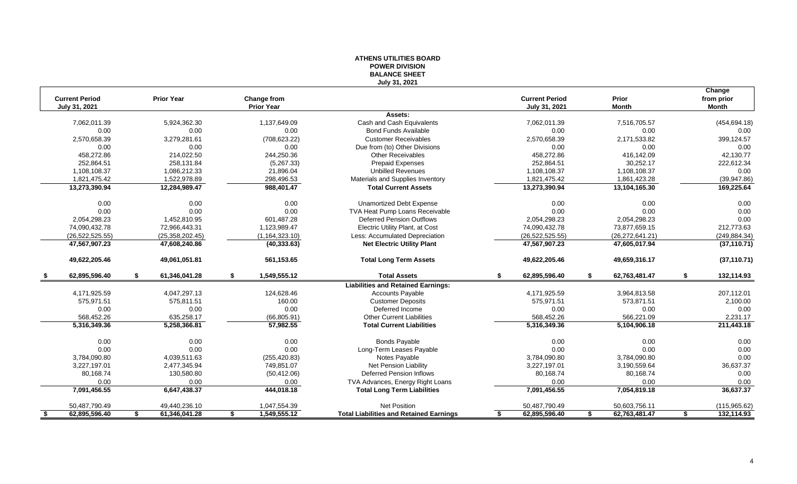| <b>Current Period</b><br><b>Prior Year</b><br>July 31, 2021<br>7,062,011.39<br>0.00<br>2,570,658.39<br>0.00<br>458.272.86<br>252,864.51<br>1,108,108.37<br>1,821,475.42<br>13,273,390.94<br>0.00<br>0.00<br>2,054,298.23 | Change from<br><b>Prior Year</b><br>5,924,362.30<br>1,137,649.09 | <b>BALANCE SHEET</b><br>July 31, 2021<br>Assets: | <b>Current Period</b><br>July 31, 2021 | Prior               |    | Change                     |
|--------------------------------------------------------------------------------------------------------------------------------------------------------------------------------------------------------------------------|------------------------------------------------------------------|--------------------------------------------------|----------------------------------------|---------------------|----|----------------------------|
|                                                                                                                                                                                                                          |                                                                  |                                                  |                                        |                     |    |                            |
|                                                                                                                                                                                                                          |                                                                  |                                                  |                                        | <b>Month</b>        |    | from prior<br><b>Month</b> |
|                                                                                                                                                                                                                          |                                                                  |                                                  |                                        |                     |    |                            |
|                                                                                                                                                                                                                          |                                                                  | Cash and Cash Equivalents                        | 7,062,011.39                           | 7,516,705.57        |    | (454, 694.18)              |
|                                                                                                                                                                                                                          | 0.00<br>0.00                                                     | <b>Bond Funds Available</b>                      | 0.00                                   | 0.00                |    | 0.00                       |
|                                                                                                                                                                                                                          | 3,279,281.61<br>(708, 623.22)                                    | <b>Customer Receivables</b>                      | 2,570,658.39                           | 2,171,533.82        |    | 399,124.57                 |
|                                                                                                                                                                                                                          | 0.00<br>0.00                                                     | Due from (to) Other Divisions                    | 0.00                                   | 0.00                |    | 0.00                       |
|                                                                                                                                                                                                                          | 214,022.50<br>244,250.36                                         | <b>Other Receivables</b>                         | 458,272.86                             | 416,142.09          |    | 42,130.77                  |
|                                                                                                                                                                                                                          | 258,131.84<br>(5,267.33)                                         | <b>Prepaid Expenses</b>                          | 252,864.51                             | 30,252.17           |    | 222,612.34                 |
|                                                                                                                                                                                                                          | 1,086,212.33<br>21,896.04                                        | <b>Unbilled Revenues</b>                         | 1,108,108.37                           | 1,108,108.37        |    | 0.00                       |
|                                                                                                                                                                                                                          | 1,522,978.89<br>298,496.53                                       | Materials and Supplies Inventory                 | 1,821,475.42                           | 1,861,423.28        |    | (39, 947.86)               |
|                                                                                                                                                                                                                          | 12,284,989.47<br>988,401.47                                      | <b>Total Current Assets</b>                      | 13,273,390.94                          | 13,104,165.30       |    | 169,225.64                 |
|                                                                                                                                                                                                                          | 0.00<br>0.00                                                     | <b>Unamortized Debt Expense</b>                  | 0.00                                   | 0.00                |    | 0.00                       |
|                                                                                                                                                                                                                          | 0.00<br>0.00                                                     | TVA Heat Pump Loans Receivable                   | 0.00                                   | 0.00                |    | 0.00                       |
|                                                                                                                                                                                                                          | 1,452,810.95<br>601,487.28                                       | Deferred Pension Outflows                        | 2,054,298.23                           | 2,054,298.23        |    | 0.00                       |
| 74,090,432.78                                                                                                                                                                                                            | 72,966,443.31<br>1,123,989.47                                    | Electric Utility Plant, at Cost                  | 74,090,432.78                          | 73,877,659.15       |    | 212,773.63                 |
| (26, 522, 525.55)                                                                                                                                                                                                        | (25, 358, 202.45)<br>(1, 164, 323.10)                            | Less: Accumulated Depreciation                   | (26, 522, 525.55)                      | (26, 272, 641.21)   |    | (249, 884.34)              |
| 47,567,907.23                                                                                                                                                                                                            | 47,608,240.86<br>(40, 333.63)                                    | <b>Net Electric Utility Plant</b>                | 47,567,907.23                          | 47,605,017.94       |    | (37, 110.71)               |
| 49,622,205.46                                                                                                                                                                                                            | 49,061,051.81<br>561,153.65                                      | <b>Total Long Term Assets</b>                    | 49,622,205.46                          | 49,659,316.17       |    | (37, 110.71)               |
| 62,895,596.40<br>\$                                                                                                                                                                                                      | 61,346,041.28<br>1,549,555.12<br>\$                              | <b>Total Assets</b><br>\$                        | 62,895,596.40                          | \$<br>62,763,481.47 | S. | 132,114.93                 |
|                                                                                                                                                                                                                          |                                                                  | <b>Liabilities and Retained Earnings:</b>        |                                        |                     |    |                            |
| 4,171,925.59                                                                                                                                                                                                             | 4,047,297.13<br>124,628.46                                       | <b>Accounts Payable</b>                          | 4,171,925.59                           | 3,964,813.58        |    | 207,112.01                 |
| 575,971.51                                                                                                                                                                                                               | 575,811.51<br>160.00                                             | <b>Customer Deposits</b>                         | 575,971.51                             | 573,871.51          |    | 2,100.00                   |
| 0.00                                                                                                                                                                                                                     | 0.00<br>0.00                                                     | Deferred Income                                  | 0.00                                   | 0.00                |    | 0.00                       |
| 568,452.26                                                                                                                                                                                                               | 635,258.17<br>(66, 805.91)                                       | <b>Other Current Liabilities</b>                 | 568,452.26                             | 566,221.09          |    | 2,231.17                   |
| 5,316,349.36                                                                                                                                                                                                             | 5,258,366.81<br>57,982.55                                        | <b>Total Current Liabilities</b>                 | 5,316,349.36                           | 5,104,906.18        |    | 211,443.18                 |
| 0.00                                                                                                                                                                                                                     | 0.00<br>0.00                                                     | <b>Bonds Payable</b>                             | 0.00                                   | 0.00                |    | 0.00                       |
| 0.00                                                                                                                                                                                                                     | 0.00<br>0.00                                                     | Long-Term Leases Payable                         | 0.00                                   | 0.00                |    | 0.00                       |
| 3,784,090.80                                                                                                                                                                                                             | 4,039,511.63<br>(255, 420.83)                                    | Notes Payable                                    | 3,784,090.80                           | 3,784,090.80        |    | 0.00                       |
| 3,227,197.01                                                                                                                                                                                                             | 2,477,345.94<br>749,851.07                                       | Net Pension Liability                            | 3,227,197.01                           | 3,190,559.64        |    | 36,637.37                  |
| 80,168.74                                                                                                                                                                                                                | 130,580.80<br>(50, 412.06)                                       | <b>Deferred Pension Inflows</b>                  | 80,168.74                              | 80,168.74           |    | 0.00                       |
| 0.00                                                                                                                                                                                                                     | 0.00<br>0.00                                                     | TVA Advances, Energy Right Loans                 | 0.00                                   | 0.00                |    | 0.00                       |
| 7,091,456.55                                                                                                                                                                                                             |                                                                  |                                                  | 7,091,456.55                           | 7,054,819.18        |    | 36,637.37                  |
| 50,487,790.49                                                                                                                                                                                                            | 444,018.18<br>6,647,438.37                                       | <b>Total Long Term Liabilities</b>               |                                        |                     |    |                            |
| 62,895,596.40<br>61,346,041.28<br>-\$<br>\$                                                                                                                                                                              | 49,440,236.10<br>1,047,554.39                                    | <b>Net Position</b>                              | 50,487,790.49                          | 50,603,756.11       |    | (115, 965.62)              |

# **ATHENS UTILITIES BOARD POWER DIVISION**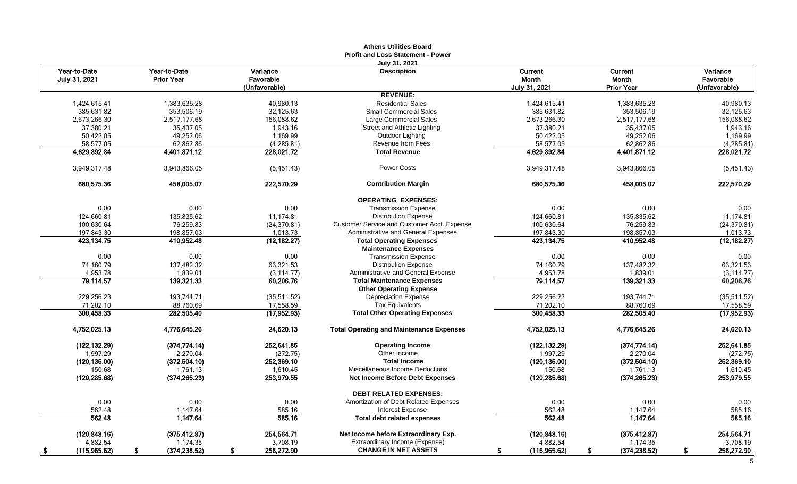|                               |                                   |                                        | <b>Athens Utilities Board</b><br><b>Profit and Loss Statement - Power</b> |                                   |                                              |                                        |
|-------------------------------|-----------------------------------|----------------------------------------|---------------------------------------------------------------------------|-----------------------------------|----------------------------------------------|----------------------------------------|
| Year-to-Date<br>July 31, 2021 | Year-to-Date<br><b>Prior Year</b> | Variance<br>Favorable<br>(Unfavorable) | July 31, 2021<br><b>Description</b>                                       | Current<br>Month<br>July 31, 2021 | <b>Current</b><br>Month<br><b>Prior Year</b> | Variance<br>Favorable<br>(Unfavorable) |
|                               |                                   |                                        | <b>REVENUE:</b>                                                           |                                   |                                              |                                        |
| 1,424,615.41                  | 1,383,635.28                      | 40,980.13                              | <b>Residential Sales</b>                                                  | 1,424,615.41                      | 1,383,635.28                                 | 40,980.13                              |
| 385,631.82                    | 353,506.19                        | 32,125.63                              | <b>Small Commercial Sales</b>                                             | 385,631.82                        | 353,506.19                                   | 32,125.63                              |
| 2,673,266.30                  | 2.517.177.68                      | 156.088.62                             | Large Commercial Sales                                                    | 2,673,266.30                      | 2.517.177.68                                 | 156.088.62                             |
| 37,380.21                     | 35,437.05                         | 1,943.16                               | Street and Athletic Lighting                                              | 37,380.21                         | 35,437.05                                    | 1,943.16                               |
| 50,422.05                     | 49,252.06                         | 1,169.99                               | Outdoor Lighting                                                          | 50,422.05                         | 49,252.06                                    | 1,169.99                               |
| 58,577.05                     | 62,862.86                         | (4, 285.81)                            | Revenue from Fees                                                         | 58,577.05                         | 62,862.86                                    | (4, 285.81)                            |
| 4,629,892.84                  | 4,401,871.12                      | 228,021.72                             | <b>Total Revenue</b>                                                      | 4,629,892.84                      | 4,401,871.12                                 | 228.021.72                             |
| 3,949,317.48                  | 3,943,866.05                      | (5,451.43)                             | Power Costs                                                               | 3,949,317.48                      | 3,943,866.05                                 | (5,451.43)                             |
| 680,575.36                    | 458,005.07                        | 222,570.29                             | <b>Contribution Margin</b>                                                | 680,575.36                        | 458,005.07                                   | 222,570.29                             |
|                               |                                   |                                        | <b>OPERATING EXPENSES:</b>                                                |                                   |                                              |                                        |
| 0.00                          | 0.00                              | 0.00                                   | <b>Transmission Expense</b>                                               | 0.00                              | 0.00                                         | 0.00                                   |
| 124,660.81                    | 135,835.62                        | 11,174.81                              | <b>Distribution Expense</b>                                               | 124,660.81                        | 135,835.62                                   | 11,174.81                              |
| 100,630.64                    | 76,259.83                         | (24, 370.81)                           | Customer Service and Customer Acct. Expense                               | 100,630.64                        | 76,259.83                                    | (24, 370.81)                           |
| 197,843.30                    | 198,857.03                        | 1,013.73                               | Administrative and General Expenses                                       | 197,843.30                        | 198,857.03                                   | 1,013.73                               |
| 423,134.75                    | 410,952.48                        | (12, 182.27)                           | <b>Total Operating Expenses</b><br><b>Maintenance Expenses</b>            | 423, 134. 75                      | 410,952.48                                   | (12, 182.27)                           |
| 0.00                          | 0.00                              | 0.00                                   | <b>Transmission Expense</b>                                               | 0.00                              | 0.00                                         | 0.00                                   |
| 74.160.79                     | 137,482.32                        | 63,321.53                              | <b>Distribution Expense</b>                                               | 74,160.79                         | 137.482.32                                   | 63,321.53                              |
| 4,953.78                      | 1,839.01                          | (3, 114.77)                            | Administrative and General Expense                                        | 4,953.78                          | 1,839.01                                     | (3, 114.77)                            |
| 79,114.57                     | 139,321.33                        | 60,206.76                              | <b>Total Maintenance Expenses</b>                                         | 79,114.57                         | 139,321.33                                   | 60,206.76                              |
|                               |                                   |                                        | <b>Other Operating Expense</b>                                            |                                   |                                              |                                        |
| 229,256.23                    | 193,744.71                        | (35, 511.52)                           | <b>Depreciation Expense</b>                                               | 229,256.23                        | 193.744.71                                   | (35,511.52)                            |
| 71,202.10                     | 88,760.69                         | 17,558.59                              | <b>Tax Equivalents</b>                                                    | 71,202.10                         | 88,760.69                                    | 17,558.59                              |
| 300,458.33                    | 282,505.40                        | (17,952.93)                            | <b>Total Other Operating Expenses</b>                                     | 300,458.33                        | 282,505.40                                   | (17,952.93)                            |
| 4,752,025.13                  | 4,776,645.26                      | 24,620.13                              | <b>Total Operating and Maintenance Expenses</b>                           | 4,752,025.13                      | 4,776,645.26                                 | 24,620.13                              |
| (122, 132.29)                 | (374, 774.14)                     | 252,641.85                             | <b>Operating Income</b>                                                   | (122, 132.29)                     | (374, 774.14)                                | 252,641.85                             |
| 1.997.29                      | 2,270.04                          | (272.75)                               | Other Income                                                              | 1,997.29                          | 2,270.04                                     | (272.75)                               |
| (120, 135.00)                 | (372,504.10)                      | 252,369.10                             | <b>Total Income</b>                                                       | (120, 135.00)                     | (372, 504.10)                                | 252,369.10                             |
| 150.68                        | 1,761.13                          | 1,610.45                               | Miscellaneous Income Deductions                                           | 150.68                            | 1,761.13                                     | 1,610.45                               |
| (120, 285.68)                 | (374, 265.23)                     | 253,979.55                             | <b>Net Income Before Debt Expenses</b>                                    | (120, 285.68)                     | (374, 265.23)                                | 253,979.55                             |
|                               |                                   |                                        | <b>DEBT RELATED EXPENSES:</b>                                             |                                   |                                              |                                        |
| 0.00                          | 0.00                              | 0.00                                   | Amortization of Debt Related Expenses                                     | 0.00                              | 0.00                                         | 0.00                                   |
| 562.48                        | 1.147.64                          | 585.16                                 | <b>Interest Expense</b>                                                   | 562.48                            | 1,147.64                                     | 585.16                                 |
| 562.48                        | 1,147.64                          | 585.16                                 | <b>Total debt related expenses</b>                                        | 562.48                            | 1,147.64                                     | 585.16                                 |
| (120.848.16)                  | (375, 412.87)                     | 254.564.71                             | Net Income before Extraordinary Exp.                                      | (120, 848.16)                     | (375, 412.87)                                | 254.564.71                             |
| 4,882.54                      | 1,174.35                          | 3,708.19                               | Extraordinary Income (Expense)                                            | 4,882.54                          | 1,174.35                                     | 3,708.19                               |
| (115,965.62)                  | (374, 238.52)                     | 258,272.90                             | <b>CHANGE IN NET ASSETS</b>                                               | (115,965.62)                      | (374, 238.52)                                | 258,272.90                             |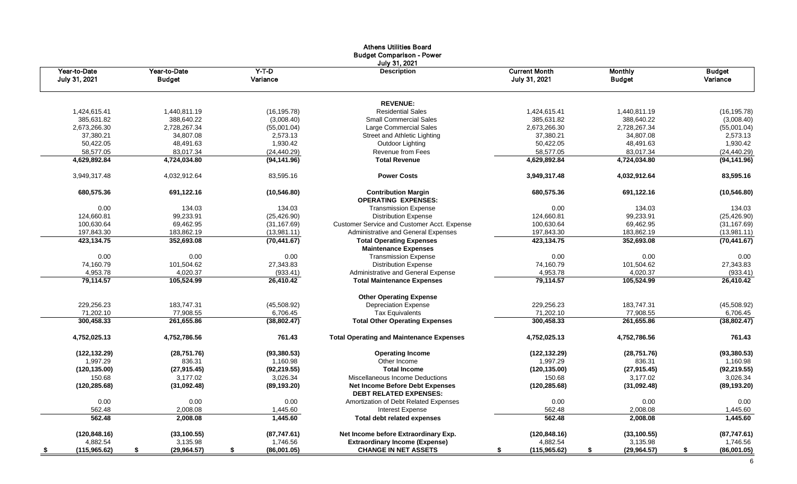|                               |                               |                     | <b>Athens Utilities Board</b><br><b>Budget Comparison - Power</b> |                                       |                                 |                           |
|-------------------------------|-------------------------------|---------------------|-------------------------------------------------------------------|---------------------------------------|---------------------------------|---------------------------|
| Year-to-Date<br>July 31, 2021 | Year-to-Date<br><b>Budget</b> | $Y-T-D$<br>Variance | July 31, 2021<br><b>Description</b>                               | <b>Current Month</b><br>July 31, 2021 | <b>Monthly</b><br><b>Budget</b> | <b>Budget</b><br>Variance |
|                               |                               |                     |                                                                   |                                       |                                 |                           |
|                               |                               |                     | <b>REVENUE:</b><br><b>Residential Sales</b>                       |                                       |                                 |                           |
| 1,424,615.41                  | 1,440,811.19                  | (16, 195.78)        |                                                                   | 1,424,615.41                          | 1,440,811.19                    | (16, 195.78)              |
| 385,631.82                    | 388,640.22                    | (3,008.40)          | <b>Small Commercial Sales</b>                                     | 385,631.82                            | 388,640.22                      | (3,008.40)                |
| 2,673,266.30                  | 2,728,267.34                  | (55,001.04)         | Large Commercial Sales                                            | 2,673,266.30                          | 2,728,267.34                    | (55,001.04)               |
| 37.380.21                     | 34.807.08                     | 2,573.13            | Street and Athletic Lighting                                      | 37,380.21                             | 34.807.08                       | 2,573.13                  |
| 50,422.05                     | 48,491.63                     | 1,930.42            | Outdoor Lighting                                                  | 50,422.05                             | 48,491.63                       | 1,930.42                  |
| 58,577.05                     | 83,017.34                     | (24, 440.29)        | Revenue from Fees                                                 | 58,577.05                             | 83,017.34                       | (24, 440.29)              |
| 4,629,892.84                  | 4,724,034.80                  | (94, 141.96)        | <b>Total Revenue</b>                                              | 4,629,892.84                          | 4,724,034.80                    | (94, 141.96)              |
| 3,949,317.48                  | 4,032,912.64                  | 83,595.16           | <b>Power Costs</b>                                                | 3,949,317.48                          | 4,032,912.64                    | 83,595.16                 |
| 680,575.36                    | 691,122.16                    | (10, 546.80)        | <b>Contribution Margin</b><br><b>OPERATING EXPENSES:</b>          | 680,575.36                            | 691,122.16                      | (10, 546.80)              |
| 0.00                          | 134.03                        | 134.03              | <b>Transmission Expense</b>                                       | 0.00                                  | 134.03                          | 134.03                    |
| 124,660.81                    | 99,233.91                     | (25, 426.90)        | <b>Distribution Expense</b>                                       | 124,660.81                            | 99,233.91                       | (25, 426.90)              |
| 100,630.64                    | 69,462.95                     | (31, 167.69)        | Customer Service and Customer Acct. Expense                       | 100,630.64                            | 69,462.95                       | (31, 167.69)              |
| 197,843.30                    | 183,862.19                    | (13,981.11)         | Administrative and General Expenses                               | 197,843.30                            | 183,862.19                      | (13,981.11)               |
| 423,134.75                    | 352,693.08                    | (70, 441.67)        | <b>Total Operating Expenses</b>                                   | 423,134.75                            | 352,693.08                      | (70, 441.67)              |
|                               |                               |                     | <b>Maintenance Expenses</b>                                       |                                       |                                 |                           |
| 0.00                          | 0.00                          | 0.00                | <b>Transmission Expense</b>                                       | 0.00                                  | 0.00                            | 0.00                      |
| 74,160.79                     | 101,504.62                    | 27,343.83           | <b>Distribution Expense</b>                                       | 74,160.79                             | 101,504.62                      | 27,343.83                 |
| 4,953.78                      | 4,020.37                      | (933.41)            | Administrative and General Expense                                | 4,953.78                              | 4,020.37                        | (933.41)                  |
| 79,114.57                     | 105,524.99                    | 26,410.42           | <b>Total Maintenance Expenses</b>                                 | 79,114.57                             | 105,524.99                      | 26,410.42                 |
|                               |                               |                     | <b>Other Operating Expense</b>                                    |                                       |                                 |                           |
| 229,256.23                    | 183,747.31                    | (45,508.92)         | <b>Depreciation Expense</b>                                       | 229,256.23                            | 183,747.31                      | (45,508.92)               |
| 71,202.10                     | 77,908.55                     | 6,706.45            | <b>Tax Equivalents</b>                                            | 71,202.10                             | 77,908.55                       | 6,706.45                  |
| 300,458.33                    | 261,655.86                    | (38, 802.47)        | <b>Total Other Operating Expenses</b>                             | 300,458.33                            | 261,655.86                      | (38, 802.47)              |
| 4,752,025.13                  | 4,752,786.56                  | 761.43              | <b>Total Operating and Maintenance Expenses</b>                   | 4,752,025.13                          | 4,752,786.56                    | 761.43                    |
| (122, 132.29)                 | (28, 751.76)                  | (93, 380.53)        | <b>Operating Income</b>                                           | (122, 132.29)                         | (28, 751.76)                    | (93, 380.53)              |
| 1.997.29                      | 836.31                        | 1,160.98            | Other Income                                                      | 1.997.29                              | 836.31                          | 1.160.98                  |
| (120, 135.00)                 | (27, 915.45)                  | (92, 219.55)        | <b>Total Income</b>                                               | (120, 135.00)                         | (27, 915.45)                    | (92, 219.55)              |
| 150.68                        | 3,177.02                      | 3,026.34            | Miscellaneous Income Deductions                                   | 150.68                                | 3,177.02                        | 3,026.34                  |
| (120, 285.68)                 | (31,092.48)                   | (89, 193.20)        | <b>Net Income Before Debt Expenses</b>                            | (120, 285.68)                         | (31,092.48)                     | (89, 193.20)              |
|                               |                               |                     | <b>DEBT RELATED EXPENSES:</b>                                     |                                       |                                 |                           |
| 0.00                          | 0.00                          | 0.00                | Amortization of Debt Related Expenses                             | 0.00                                  | 0.00                            | 0.00                      |
| 562.48                        | 2,008.08                      | 1,445.60            | Interest Expense                                                  | 562.48                                | 2,008.08                        | 1,445.60                  |
| 562.48                        | 2,008.08                      | 1,445.60            | <b>Total debt related expenses</b>                                | 562.48                                | 2,008.08                        | 1,445.60                  |
| (120, 848.16)                 | (33, 100.55)                  | (87,747.61)         | Net Income before Extraordinary Exp.                              | (120, 848.16)                         | (33, 100.55)                    | (87,747.61)               |
| 4,882.54                      | 3,135.98                      | 1,746.56            | <b>Extraordinary Income (Expense)</b>                             | 4,882.54                              | 3,135.98                        | 1,746.56                  |
| (115, 965.62)<br><u>s</u>     | \$<br>(29, 964.57)            | (86,001.05)<br>\$   | <b>CHANGE IN NET ASSETS</b>                                       | (115, 965.62)<br>S                    | \$<br>(29, 964.57)              | (86,001.05)<br>\$         |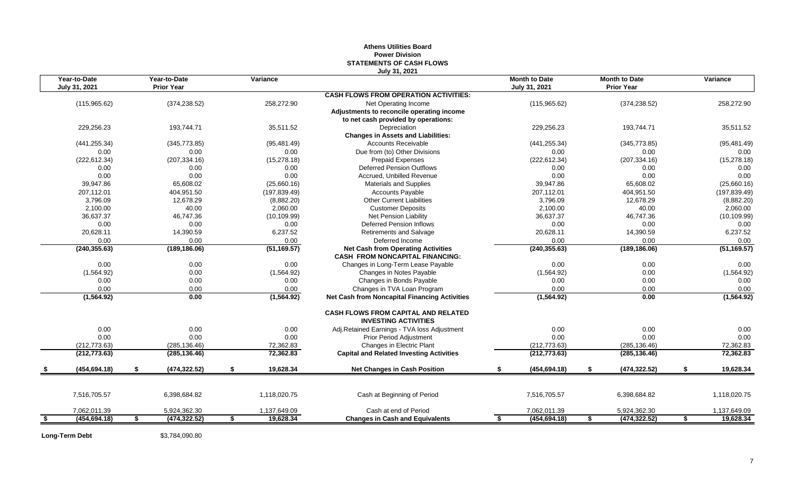| Year-to-Date<br>Year-to-Date<br><b>Month to Date</b><br><b>Month to Date</b><br>Variance<br>Variance<br><b>Prior Year</b><br>July 31, 2021<br>July 31, 2021<br><b>Prior Year</b><br><b>CASH FLOWS FROM OPERATION ACTIVITIES:</b><br>(374, 238.52)<br>258,272.90<br>(115,965.62)<br>Net Operating Income<br>(115,965.62)<br>(374, 238.52)<br>258,272.90<br>Adjustments to reconcile operating income<br>to net cash provided by operations:<br>229,256.23<br>193.744.71<br>35,511.52<br>Depreciation<br>229.256.23<br>193,744.71<br>35,511.52<br><b>Changes in Assets and Liabilities:</b><br><b>Accounts Receivable</b><br>(441, 255.34)<br>(95, 481.49)<br>(441, 255.34)<br>(345, 773.85)<br>(95, 481.49)<br>(345, 773.85)<br>Due from (to) Other Divisions<br>0.00<br>0.00<br>0.00<br>0.00<br>0.00<br>0.00<br>(222, 612.34)<br>(15, 278.18)<br>(222, 612.34)<br>(207, 334.16)<br>(15, 278.18)<br>(207, 334.16)<br><b>Prepaid Expenses</b><br>0.00<br>0.00<br>0.00<br><b>Deferred Pension Outflows</b><br>0.00<br>0.00<br>0.00<br>0.00<br>0.00<br>Accrued. Unbilled Revenue<br>0.00<br>0.00<br>0.00<br>0.00<br>39,947.86<br>65,608.02<br>39,947.86<br>65,608.02<br>(25,660.16)<br>(25,660.16)<br><b>Materials and Supplies</b><br>404,951.50<br>207,112.01<br>404,951.50<br>(197, 839.49)<br>Accounts Payable<br>207,112.01<br>(197, 839.49)<br>3,796.09<br>12,678.29<br><b>Other Current Liabilities</b><br>3,796.09<br>12,678.29<br>(8,882.20)<br>(8,882.20)<br>2,100.00<br>40.00<br>2,060.00<br><b>Customer Deposits</b><br>2,100.00<br>40.00<br>2,060.00<br>36,637.37<br>36,637.37<br>46,747.36<br>(10, 109.99)<br><b>Net Pension Liability</b><br>46,747.36<br>(10, 109.99)<br>0.00<br>0.00<br>0.00<br><b>Deferred Pension Inflows</b><br>0.00<br>0.00<br>0.00<br>6,237.52<br>20,628.11<br>6,237.52<br>20,628.11<br>14,390.59<br>14,390.59<br><b>Retirements and Salvage</b><br>0.00<br>Deferred Income<br>0.00<br>0.00<br>0.00<br>0.00<br>0.00<br>(51, 169.57)<br><b>Net Cash from Operating Activities</b><br>(240, 355.63)<br>(51, 169.57)<br>(240, 355.63)<br>(189, 186.06)<br>(189, 186.06)<br><b>CASH FROM NONCAPITAL FINANCING:</b><br>0.00<br>0.00<br>0.00<br>Changes in Long-Term Lease Payable<br>0.00<br>0.00<br>0.00<br>0.00<br>(1,564.92)<br>(1,564.92)<br>0.00<br>(1,564.92)<br>Changes in Notes Payable<br>(1,564.92)<br>0.00<br>0.00<br>Changes in Bonds Payable<br>0.00<br>0.00<br>0.00<br>0.00<br>0.00<br>Changes in TVA Loan Program<br>0.00<br>0.00<br>0.00<br>0.00<br>0.00<br>0.00<br>(1, 564.92)<br>(1, 564.92)<br>0.00<br>(1,564.92)<br><b>Net Cash from Noncapital Financing Activities</b><br>(1, 564.92)<br><b>CASH FLOWS FROM CAPITAL AND RELATED</b><br><b>INVESTING ACTIVITIES</b><br>0.00<br>0.00<br>0.00<br>0.00<br>0.00<br>0.00<br>Adj.Retained Earnings - TVA loss Adjustment<br>0.00<br>0.00<br>0.00<br>0.00<br>0.00<br>Prior Period Adjustment<br>0.00<br>(212, 773.63)<br>Changes in Electric Plant<br>(212, 773.63)<br>(285, 136.46)<br>72,362.83<br>(285, 136.46)<br>72,362.83<br>72,362.83<br><b>Capital and Related Investing Activities</b><br>72,362.83<br>(212, 773.63)<br>(285, 136.46)<br>(212, 773.63)<br>(285, 136.46)<br>(454, 694.18)<br>(474, 322.52)<br>19,628.34<br><b>Net Changes in Cash Position</b><br>(454, 694.18)<br>(474, 322.52)<br>19,628.34<br>\$<br>\$<br>7,516,705.57<br>6,398,684.82<br>1,118,020.75<br>7,516,705.57<br>6,398,684.82<br>1,118,020.75<br>Cash at Beginning of Period<br>Cash at end of Period<br>1,137,649.09<br>7,062,011.39<br>5,924,362.30<br>1,137,649.09<br>7,062,011.39<br>5,924,362.30<br>19,628.34<br>(474, 322.52)<br>(454, 694.18)<br>(474, 322.52)<br>\$<br>(454, 694.18)<br>\$<br>19,628.34<br>\$<br>\$<br>\$<br><b>Changes in Cash and Equivalents</b><br>\$ |  |  |  | July 31, 2021 |  |  |  |
|------------------------------------------------------------------------------------------------------------------------------------------------------------------------------------------------------------------------------------------------------------------------------------------------------------------------------------------------------------------------------------------------------------------------------------------------------------------------------------------------------------------------------------------------------------------------------------------------------------------------------------------------------------------------------------------------------------------------------------------------------------------------------------------------------------------------------------------------------------------------------------------------------------------------------------------------------------------------------------------------------------------------------------------------------------------------------------------------------------------------------------------------------------------------------------------------------------------------------------------------------------------------------------------------------------------------------------------------------------------------------------------------------------------------------------------------------------------------------------------------------------------------------------------------------------------------------------------------------------------------------------------------------------------------------------------------------------------------------------------------------------------------------------------------------------------------------------------------------------------------------------------------------------------------------------------------------------------------------------------------------------------------------------------------------------------------------------------------------------------------------------------------------------------------------------------------------------------------------------------------------------------------------------------------------------------------------------------------------------------------------------------------------------------------------------------------------------------------------------------------------------------------------------------------------------------------------------------------------------------------------------------------------------------------------------------------------------------------------------------------------------------------------------------------------------------------------------------------------------------------------------------------------------------------------------------------------------------------------------------------------------------------------------------------------------------------------------------------------------------------------------------------------------------------------------------------------------------------------------------------------------------------------------------------------------------------------------------------------------------------------------------------------------------------------------------------------------------------------------------------------------------------------------------------------------------------------------------------------------------------------------------------------------------------------------------------------------------------------------------------------------------|--|--|--|---------------|--|--|--|
|                                                                                                                                                                                                                                                                                                                                                                                                                                                                                                                                                                                                                                                                                                                                                                                                                                                                                                                                                                                                                                                                                                                                                                                                                                                                                                                                                                                                                                                                                                                                                                                                                                                                                                                                                                                                                                                                                                                                                                                                                                                                                                                                                                                                                                                                                                                                                                                                                                                                                                                                                                                                                                                                                                                                                                                                                                                                                                                                                                                                                                                                                                                                                                                                                                                                                                                                                                                                                                                                                                                                                                                                                                                                                                                                                                  |  |  |  |               |  |  |  |
|                                                                                                                                                                                                                                                                                                                                                                                                                                                                                                                                                                                                                                                                                                                                                                                                                                                                                                                                                                                                                                                                                                                                                                                                                                                                                                                                                                                                                                                                                                                                                                                                                                                                                                                                                                                                                                                                                                                                                                                                                                                                                                                                                                                                                                                                                                                                                                                                                                                                                                                                                                                                                                                                                                                                                                                                                                                                                                                                                                                                                                                                                                                                                                                                                                                                                                                                                                                                                                                                                                                                                                                                                                                                                                                                                                  |  |  |  |               |  |  |  |
|                                                                                                                                                                                                                                                                                                                                                                                                                                                                                                                                                                                                                                                                                                                                                                                                                                                                                                                                                                                                                                                                                                                                                                                                                                                                                                                                                                                                                                                                                                                                                                                                                                                                                                                                                                                                                                                                                                                                                                                                                                                                                                                                                                                                                                                                                                                                                                                                                                                                                                                                                                                                                                                                                                                                                                                                                                                                                                                                                                                                                                                                                                                                                                                                                                                                                                                                                                                                                                                                                                                                                                                                                                                                                                                                                                  |  |  |  |               |  |  |  |
|                                                                                                                                                                                                                                                                                                                                                                                                                                                                                                                                                                                                                                                                                                                                                                                                                                                                                                                                                                                                                                                                                                                                                                                                                                                                                                                                                                                                                                                                                                                                                                                                                                                                                                                                                                                                                                                                                                                                                                                                                                                                                                                                                                                                                                                                                                                                                                                                                                                                                                                                                                                                                                                                                                                                                                                                                                                                                                                                                                                                                                                                                                                                                                                                                                                                                                                                                                                                                                                                                                                                                                                                                                                                                                                                                                  |  |  |  |               |  |  |  |
|                                                                                                                                                                                                                                                                                                                                                                                                                                                                                                                                                                                                                                                                                                                                                                                                                                                                                                                                                                                                                                                                                                                                                                                                                                                                                                                                                                                                                                                                                                                                                                                                                                                                                                                                                                                                                                                                                                                                                                                                                                                                                                                                                                                                                                                                                                                                                                                                                                                                                                                                                                                                                                                                                                                                                                                                                                                                                                                                                                                                                                                                                                                                                                                                                                                                                                                                                                                                                                                                                                                                                                                                                                                                                                                                                                  |  |  |  |               |  |  |  |
|                                                                                                                                                                                                                                                                                                                                                                                                                                                                                                                                                                                                                                                                                                                                                                                                                                                                                                                                                                                                                                                                                                                                                                                                                                                                                                                                                                                                                                                                                                                                                                                                                                                                                                                                                                                                                                                                                                                                                                                                                                                                                                                                                                                                                                                                                                                                                                                                                                                                                                                                                                                                                                                                                                                                                                                                                                                                                                                                                                                                                                                                                                                                                                                                                                                                                                                                                                                                                                                                                                                                                                                                                                                                                                                                                                  |  |  |  |               |  |  |  |
|                                                                                                                                                                                                                                                                                                                                                                                                                                                                                                                                                                                                                                                                                                                                                                                                                                                                                                                                                                                                                                                                                                                                                                                                                                                                                                                                                                                                                                                                                                                                                                                                                                                                                                                                                                                                                                                                                                                                                                                                                                                                                                                                                                                                                                                                                                                                                                                                                                                                                                                                                                                                                                                                                                                                                                                                                                                                                                                                                                                                                                                                                                                                                                                                                                                                                                                                                                                                                                                                                                                                                                                                                                                                                                                                                                  |  |  |  |               |  |  |  |
|                                                                                                                                                                                                                                                                                                                                                                                                                                                                                                                                                                                                                                                                                                                                                                                                                                                                                                                                                                                                                                                                                                                                                                                                                                                                                                                                                                                                                                                                                                                                                                                                                                                                                                                                                                                                                                                                                                                                                                                                                                                                                                                                                                                                                                                                                                                                                                                                                                                                                                                                                                                                                                                                                                                                                                                                                                                                                                                                                                                                                                                                                                                                                                                                                                                                                                                                                                                                                                                                                                                                                                                                                                                                                                                                                                  |  |  |  |               |  |  |  |
|                                                                                                                                                                                                                                                                                                                                                                                                                                                                                                                                                                                                                                                                                                                                                                                                                                                                                                                                                                                                                                                                                                                                                                                                                                                                                                                                                                                                                                                                                                                                                                                                                                                                                                                                                                                                                                                                                                                                                                                                                                                                                                                                                                                                                                                                                                                                                                                                                                                                                                                                                                                                                                                                                                                                                                                                                                                                                                                                                                                                                                                                                                                                                                                                                                                                                                                                                                                                                                                                                                                                                                                                                                                                                                                                                                  |  |  |  |               |  |  |  |
|                                                                                                                                                                                                                                                                                                                                                                                                                                                                                                                                                                                                                                                                                                                                                                                                                                                                                                                                                                                                                                                                                                                                                                                                                                                                                                                                                                                                                                                                                                                                                                                                                                                                                                                                                                                                                                                                                                                                                                                                                                                                                                                                                                                                                                                                                                                                                                                                                                                                                                                                                                                                                                                                                                                                                                                                                                                                                                                                                                                                                                                                                                                                                                                                                                                                                                                                                                                                                                                                                                                                                                                                                                                                                                                                                                  |  |  |  |               |  |  |  |
|                                                                                                                                                                                                                                                                                                                                                                                                                                                                                                                                                                                                                                                                                                                                                                                                                                                                                                                                                                                                                                                                                                                                                                                                                                                                                                                                                                                                                                                                                                                                                                                                                                                                                                                                                                                                                                                                                                                                                                                                                                                                                                                                                                                                                                                                                                                                                                                                                                                                                                                                                                                                                                                                                                                                                                                                                                                                                                                                                                                                                                                                                                                                                                                                                                                                                                                                                                                                                                                                                                                                                                                                                                                                                                                                                                  |  |  |  |               |  |  |  |
|                                                                                                                                                                                                                                                                                                                                                                                                                                                                                                                                                                                                                                                                                                                                                                                                                                                                                                                                                                                                                                                                                                                                                                                                                                                                                                                                                                                                                                                                                                                                                                                                                                                                                                                                                                                                                                                                                                                                                                                                                                                                                                                                                                                                                                                                                                                                                                                                                                                                                                                                                                                                                                                                                                                                                                                                                                                                                                                                                                                                                                                                                                                                                                                                                                                                                                                                                                                                                                                                                                                                                                                                                                                                                                                                                                  |  |  |  |               |  |  |  |
|                                                                                                                                                                                                                                                                                                                                                                                                                                                                                                                                                                                                                                                                                                                                                                                                                                                                                                                                                                                                                                                                                                                                                                                                                                                                                                                                                                                                                                                                                                                                                                                                                                                                                                                                                                                                                                                                                                                                                                                                                                                                                                                                                                                                                                                                                                                                                                                                                                                                                                                                                                                                                                                                                                                                                                                                                                                                                                                                                                                                                                                                                                                                                                                                                                                                                                                                                                                                                                                                                                                                                                                                                                                                                                                                                                  |  |  |  |               |  |  |  |
|                                                                                                                                                                                                                                                                                                                                                                                                                                                                                                                                                                                                                                                                                                                                                                                                                                                                                                                                                                                                                                                                                                                                                                                                                                                                                                                                                                                                                                                                                                                                                                                                                                                                                                                                                                                                                                                                                                                                                                                                                                                                                                                                                                                                                                                                                                                                                                                                                                                                                                                                                                                                                                                                                                                                                                                                                                                                                                                                                                                                                                                                                                                                                                                                                                                                                                                                                                                                                                                                                                                                                                                                                                                                                                                                                                  |  |  |  |               |  |  |  |
|                                                                                                                                                                                                                                                                                                                                                                                                                                                                                                                                                                                                                                                                                                                                                                                                                                                                                                                                                                                                                                                                                                                                                                                                                                                                                                                                                                                                                                                                                                                                                                                                                                                                                                                                                                                                                                                                                                                                                                                                                                                                                                                                                                                                                                                                                                                                                                                                                                                                                                                                                                                                                                                                                                                                                                                                                                                                                                                                                                                                                                                                                                                                                                                                                                                                                                                                                                                                                                                                                                                                                                                                                                                                                                                                                                  |  |  |  |               |  |  |  |
|                                                                                                                                                                                                                                                                                                                                                                                                                                                                                                                                                                                                                                                                                                                                                                                                                                                                                                                                                                                                                                                                                                                                                                                                                                                                                                                                                                                                                                                                                                                                                                                                                                                                                                                                                                                                                                                                                                                                                                                                                                                                                                                                                                                                                                                                                                                                                                                                                                                                                                                                                                                                                                                                                                                                                                                                                                                                                                                                                                                                                                                                                                                                                                                                                                                                                                                                                                                                                                                                                                                                                                                                                                                                                                                                                                  |  |  |  |               |  |  |  |
|                                                                                                                                                                                                                                                                                                                                                                                                                                                                                                                                                                                                                                                                                                                                                                                                                                                                                                                                                                                                                                                                                                                                                                                                                                                                                                                                                                                                                                                                                                                                                                                                                                                                                                                                                                                                                                                                                                                                                                                                                                                                                                                                                                                                                                                                                                                                                                                                                                                                                                                                                                                                                                                                                                                                                                                                                                                                                                                                                                                                                                                                                                                                                                                                                                                                                                                                                                                                                                                                                                                                                                                                                                                                                                                                                                  |  |  |  |               |  |  |  |
|                                                                                                                                                                                                                                                                                                                                                                                                                                                                                                                                                                                                                                                                                                                                                                                                                                                                                                                                                                                                                                                                                                                                                                                                                                                                                                                                                                                                                                                                                                                                                                                                                                                                                                                                                                                                                                                                                                                                                                                                                                                                                                                                                                                                                                                                                                                                                                                                                                                                                                                                                                                                                                                                                                                                                                                                                                                                                                                                                                                                                                                                                                                                                                                                                                                                                                                                                                                                                                                                                                                                                                                                                                                                                                                                                                  |  |  |  |               |  |  |  |
|                                                                                                                                                                                                                                                                                                                                                                                                                                                                                                                                                                                                                                                                                                                                                                                                                                                                                                                                                                                                                                                                                                                                                                                                                                                                                                                                                                                                                                                                                                                                                                                                                                                                                                                                                                                                                                                                                                                                                                                                                                                                                                                                                                                                                                                                                                                                                                                                                                                                                                                                                                                                                                                                                                                                                                                                                                                                                                                                                                                                                                                                                                                                                                                                                                                                                                                                                                                                                                                                                                                                                                                                                                                                                                                                                                  |  |  |  |               |  |  |  |
|                                                                                                                                                                                                                                                                                                                                                                                                                                                                                                                                                                                                                                                                                                                                                                                                                                                                                                                                                                                                                                                                                                                                                                                                                                                                                                                                                                                                                                                                                                                                                                                                                                                                                                                                                                                                                                                                                                                                                                                                                                                                                                                                                                                                                                                                                                                                                                                                                                                                                                                                                                                                                                                                                                                                                                                                                                                                                                                                                                                                                                                                                                                                                                                                                                                                                                                                                                                                                                                                                                                                                                                                                                                                                                                                                                  |  |  |  |               |  |  |  |
|                                                                                                                                                                                                                                                                                                                                                                                                                                                                                                                                                                                                                                                                                                                                                                                                                                                                                                                                                                                                                                                                                                                                                                                                                                                                                                                                                                                                                                                                                                                                                                                                                                                                                                                                                                                                                                                                                                                                                                                                                                                                                                                                                                                                                                                                                                                                                                                                                                                                                                                                                                                                                                                                                                                                                                                                                                                                                                                                                                                                                                                                                                                                                                                                                                                                                                                                                                                                                                                                                                                                                                                                                                                                                                                                                                  |  |  |  |               |  |  |  |
|                                                                                                                                                                                                                                                                                                                                                                                                                                                                                                                                                                                                                                                                                                                                                                                                                                                                                                                                                                                                                                                                                                                                                                                                                                                                                                                                                                                                                                                                                                                                                                                                                                                                                                                                                                                                                                                                                                                                                                                                                                                                                                                                                                                                                                                                                                                                                                                                                                                                                                                                                                                                                                                                                                                                                                                                                                                                                                                                                                                                                                                                                                                                                                                                                                                                                                                                                                                                                                                                                                                                                                                                                                                                                                                                                                  |  |  |  |               |  |  |  |
|                                                                                                                                                                                                                                                                                                                                                                                                                                                                                                                                                                                                                                                                                                                                                                                                                                                                                                                                                                                                                                                                                                                                                                                                                                                                                                                                                                                                                                                                                                                                                                                                                                                                                                                                                                                                                                                                                                                                                                                                                                                                                                                                                                                                                                                                                                                                                                                                                                                                                                                                                                                                                                                                                                                                                                                                                                                                                                                                                                                                                                                                                                                                                                                                                                                                                                                                                                                                                                                                                                                                                                                                                                                                                                                                                                  |  |  |  |               |  |  |  |
|                                                                                                                                                                                                                                                                                                                                                                                                                                                                                                                                                                                                                                                                                                                                                                                                                                                                                                                                                                                                                                                                                                                                                                                                                                                                                                                                                                                                                                                                                                                                                                                                                                                                                                                                                                                                                                                                                                                                                                                                                                                                                                                                                                                                                                                                                                                                                                                                                                                                                                                                                                                                                                                                                                                                                                                                                                                                                                                                                                                                                                                                                                                                                                                                                                                                                                                                                                                                                                                                                                                                                                                                                                                                                                                                                                  |  |  |  |               |  |  |  |
|                                                                                                                                                                                                                                                                                                                                                                                                                                                                                                                                                                                                                                                                                                                                                                                                                                                                                                                                                                                                                                                                                                                                                                                                                                                                                                                                                                                                                                                                                                                                                                                                                                                                                                                                                                                                                                                                                                                                                                                                                                                                                                                                                                                                                                                                                                                                                                                                                                                                                                                                                                                                                                                                                                                                                                                                                                                                                                                                                                                                                                                                                                                                                                                                                                                                                                                                                                                                                                                                                                                                                                                                                                                                                                                                                                  |  |  |  |               |  |  |  |
|                                                                                                                                                                                                                                                                                                                                                                                                                                                                                                                                                                                                                                                                                                                                                                                                                                                                                                                                                                                                                                                                                                                                                                                                                                                                                                                                                                                                                                                                                                                                                                                                                                                                                                                                                                                                                                                                                                                                                                                                                                                                                                                                                                                                                                                                                                                                                                                                                                                                                                                                                                                                                                                                                                                                                                                                                                                                                                                                                                                                                                                                                                                                                                                                                                                                                                                                                                                                                                                                                                                                                                                                                                                                                                                                                                  |  |  |  |               |  |  |  |
|                                                                                                                                                                                                                                                                                                                                                                                                                                                                                                                                                                                                                                                                                                                                                                                                                                                                                                                                                                                                                                                                                                                                                                                                                                                                                                                                                                                                                                                                                                                                                                                                                                                                                                                                                                                                                                                                                                                                                                                                                                                                                                                                                                                                                                                                                                                                                                                                                                                                                                                                                                                                                                                                                                                                                                                                                                                                                                                                                                                                                                                                                                                                                                                                                                                                                                                                                                                                                                                                                                                                                                                                                                                                                                                                                                  |  |  |  |               |  |  |  |
|                                                                                                                                                                                                                                                                                                                                                                                                                                                                                                                                                                                                                                                                                                                                                                                                                                                                                                                                                                                                                                                                                                                                                                                                                                                                                                                                                                                                                                                                                                                                                                                                                                                                                                                                                                                                                                                                                                                                                                                                                                                                                                                                                                                                                                                                                                                                                                                                                                                                                                                                                                                                                                                                                                                                                                                                                                                                                                                                                                                                                                                                                                                                                                                                                                                                                                                                                                                                                                                                                                                                                                                                                                                                                                                                                                  |  |  |  |               |  |  |  |
|                                                                                                                                                                                                                                                                                                                                                                                                                                                                                                                                                                                                                                                                                                                                                                                                                                                                                                                                                                                                                                                                                                                                                                                                                                                                                                                                                                                                                                                                                                                                                                                                                                                                                                                                                                                                                                                                                                                                                                                                                                                                                                                                                                                                                                                                                                                                                                                                                                                                                                                                                                                                                                                                                                                                                                                                                                                                                                                                                                                                                                                                                                                                                                                                                                                                                                                                                                                                                                                                                                                                                                                                                                                                                                                                                                  |  |  |  |               |  |  |  |
|                                                                                                                                                                                                                                                                                                                                                                                                                                                                                                                                                                                                                                                                                                                                                                                                                                                                                                                                                                                                                                                                                                                                                                                                                                                                                                                                                                                                                                                                                                                                                                                                                                                                                                                                                                                                                                                                                                                                                                                                                                                                                                                                                                                                                                                                                                                                                                                                                                                                                                                                                                                                                                                                                                                                                                                                                                                                                                                                                                                                                                                                                                                                                                                                                                                                                                                                                                                                                                                                                                                                                                                                                                                                                                                                                                  |  |  |  |               |  |  |  |
|                                                                                                                                                                                                                                                                                                                                                                                                                                                                                                                                                                                                                                                                                                                                                                                                                                                                                                                                                                                                                                                                                                                                                                                                                                                                                                                                                                                                                                                                                                                                                                                                                                                                                                                                                                                                                                                                                                                                                                                                                                                                                                                                                                                                                                                                                                                                                                                                                                                                                                                                                                                                                                                                                                                                                                                                                                                                                                                                                                                                                                                                                                                                                                                                                                                                                                                                                                                                                                                                                                                                                                                                                                                                                                                                                                  |  |  |  |               |  |  |  |
|                                                                                                                                                                                                                                                                                                                                                                                                                                                                                                                                                                                                                                                                                                                                                                                                                                                                                                                                                                                                                                                                                                                                                                                                                                                                                                                                                                                                                                                                                                                                                                                                                                                                                                                                                                                                                                                                                                                                                                                                                                                                                                                                                                                                                                                                                                                                                                                                                                                                                                                                                                                                                                                                                                                                                                                                                                                                                                                                                                                                                                                                                                                                                                                                                                                                                                                                                                                                                                                                                                                                                                                                                                                                                                                                                                  |  |  |  |               |  |  |  |
|                                                                                                                                                                                                                                                                                                                                                                                                                                                                                                                                                                                                                                                                                                                                                                                                                                                                                                                                                                                                                                                                                                                                                                                                                                                                                                                                                                                                                                                                                                                                                                                                                                                                                                                                                                                                                                                                                                                                                                                                                                                                                                                                                                                                                                                                                                                                                                                                                                                                                                                                                                                                                                                                                                                                                                                                                                                                                                                                                                                                                                                                                                                                                                                                                                                                                                                                                                                                                                                                                                                                                                                                                                                                                                                                                                  |  |  |  |               |  |  |  |
|                                                                                                                                                                                                                                                                                                                                                                                                                                                                                                                                                                                                                                                                                                                                                                                                                                                                                                                                                                                                                                                                                                                                                                                                                                                                                                                                                                                                                                                                                                                                                                                                                                                                                                                                                                                                                                                                                                                                                                                                                                                                                                                                                                                                                                                                                                                                                                                                                                                                                                                                                                                                                                                                                                                                                                                                                                                                                                                                                                                                                                                                                                                                                                                                                                                                                                                                                                                                                                                                                                                                                                                                                                                                                                                                                                  |  |  |  |               |  |  |  |
|                                                                                                                                                                                                                                                                                                                                                                                                                                                                                                                                                                                                                                                                                                                                                                                                                                                                                                                                                                                                                                                                                                                                                                                                                                                                                                                                                                                                                                                                                                                                                                                                                                                                                                                                                                                                                                                                                                                                                                                                                                                                                                                                                                                                                                                                                                                                                                                                                                                                                                                                                                                                                                                                                                                                                                                                                                                                                                                                                                                                                                                                                                                                                                                                                                                                                                                                                                                                                                                                                                                                                                                                                                                                                                                                                                  |  |  |  |               |  |  |  |
|                                                                                                                                                                                                                                                                                                                                                                                                                                                                                                                                                                                                                                                                                                                                                                                                                                                                                                                                                                                                                                                                                                                                                                                                                                                                                                                                                                                                                                                                                                                                                                                                                                                                                                                                                                                                                                                                                                                                                                                                                                                                                                                                                                                                                                                                                                                                                                                                                                                                                                                                                                                                                                                                                                                                                                                                                                                                                                                                                                                                                                                                                                                                                                                                                                                                                                                                                                                                                                                                                                                                                                                                                                                                                                                                                                  |  |  |  |               |  |  |  |

## **Athens Utilities Board Power Division STATEMENTS OF CASH FLOWS**

**Long-Term Debt** \$3,784,090.80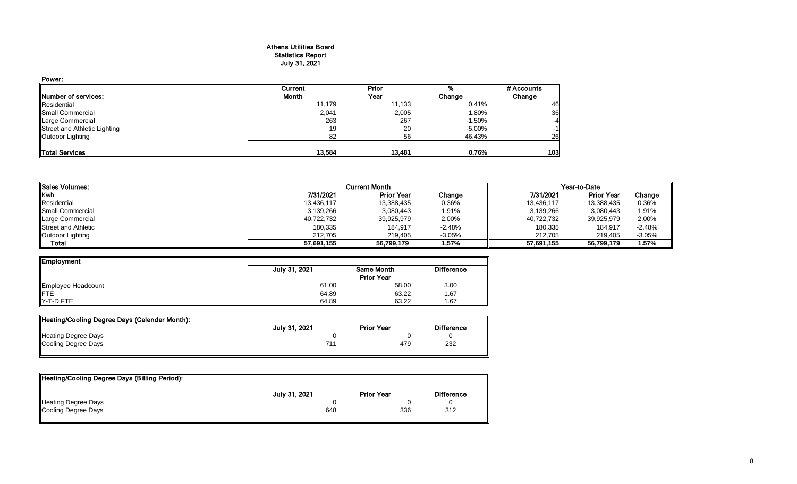#### Athens Utilities Board Statistics Report July 31, 2021

| Power:                       |         |        |           |            |
|------------------------------|---------|--------|-----------|------------|
|                              | Current | Prior  |           | # Accounts |
| Number of services:          | Month   | Year   | Change    | Change     |
| Residential                  | 11,179  | 11,133 | 0.41%     | 46         |
| Small Commercial             | 2,041   | 2,005  | 1.80%     | 36         |
| Large Commercial             | 263     | 267    | $-1.50\%$ | $-4$       |
| Street and Athletic Lighting | 19      | 20     | $-5.00\%$ | $-1$       |
| Outdoor Lighting             | 82      | 56     | 46.43%    | 26         |
| Total Services               | 13.584  | 13.481 | 0.76%     | 103        |

| <b>ISales Volumes:</b>     |            | <b>Current Month</b> |          |            | Year-to-Date      |          |
|----------------------------|------------|----------------------|----------|------------|-------------------|----------|
| <b>Kwh</b>                 | 7/31/2021  | <b>Prior Year</b>    | Change   | 7/31/2021  | <b>Prior Year</b> | Change   |
| Residential                | 13.436.117 | 13,388,435           | 0.36%    | 13,436,117 | 13,388,435        | 0.36%    |
| <b>I</b> Small Commercial  | 3,139,266  | 3,080,443            | 1.91%    | 3,139,266  | 3,080,443         | 1.91%    |
| Large Commercial           | 40,722,732 | 39,925,979           | 2.00%    | 40,722,732 | 39,925,979        | 2.00%    |
| <b>Street and Athletic</b> | 180,335    | 184,917              | $-2.48%$ | 180,335    | 184,917           | $-2.48%$ |
| Outdoor Lighting           | 212.705    | 219.405              | $-3.05%$ | 212.705    | 219.405           | $-3.05%$ |
| <b>Total</b>               | 57.691.155 | 56,799,179           | 1.57%    | 57.691.155 | 56,799,179        | 1.57%    |

| Employment         |               |                   |                   |
|--------------------|---------------|-------------------|-------------------|
|                    | July 31, 2021 | Same Month        | <b>Difference</b> |
|                    |               | <b>Prior Year</b> |                   |
| Employee Headcount | 61.00         | 58.00             | 3.00              |
| <b>IFTE</b>        | 64.89         | 63.22             | 1.67              |
| <b>Y-T-D FTE</b>   | 64.89         | 63.22             | . 67              |

| Heating/Cooling Degree Days (Calendar Month): |               |                   |                   |
|-----------------------------------------------|---------------|-------------------|-------------------|
|                                               | July 31, 2021 | <b>Prior Year</b> | <b>Difference</b> |
| Heating Degree Days                           |               |                   |                   |
| Cooling Degree Days                           |               | 479               | 232               |

| Heating/Cooling Degree Days (Billing Period): |               |                   |                   |
|-----------------------------------------------|---------------|-------------------|-------------------|
|                                               | July 31, 2021 | <b>Prior Year</b> | <b>Difference</b> |
| Heating Degree Days                           |               |                   |                   |
| Cooling Degree Days                           | 648           | 336               | 312               |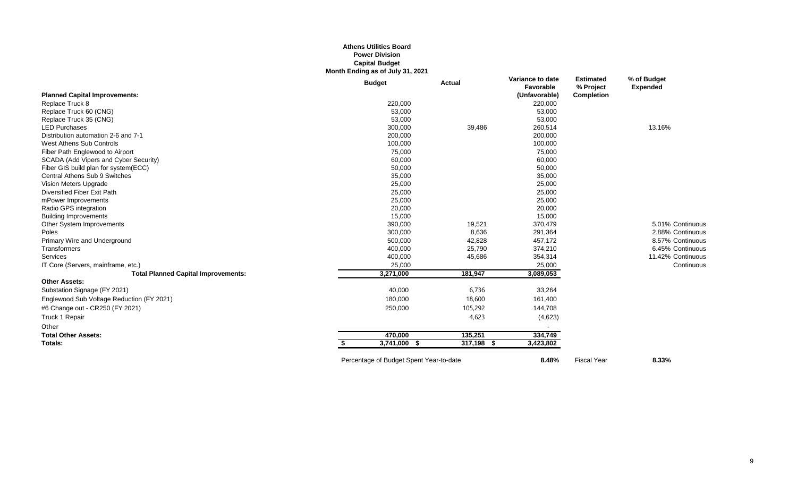### **Athens Utilities Board Power Division Capital Budget Month Ending as of July 31, 2021**

|                                            | <b>Budget</b> | <b>Actual</b>   | Variance to date<br>Favorable | <b>Estimated</b><br>% Project | % of Budget<br><b>Expended</b> |
|--------------------------------------------|---------------|-----------------|-------------------------------|-------------------------------|--------------------------------|
| <b>Planned Capital Improvements:</b>       |               |                 | (Unfavorable)                 | Completion                    |                                |
| Replace Truck 8                            | 220,000       |                 | 220,000                       |                               |                                |
| Replace Truck 60 (CNG)                     | 53,000        |                 | 53,000                        |                               |                                |
| Replace Truck 35 (CNG)                     | 53,000        |                 | 53,000                        |                               |                                |
| <b>LED Purchases</b>                       | 300,000       | 39,486          | 260,514                       |                               | 13.16%                         |
| Distribution automation 2-6 and 7-1        | 200,000       |                 | 200,000                       |                               |                                |
| West Athens Sub Controls                   | 100,000       |                 | 100,000                       |                               |                                |
| Fiber Path Englewood to Airport            | 75,000        |                 | 75,000                        |                               |                                |
| SCADA (Add Vipers and Cyber Security)      | 60,000        |                 | 60,000                        |                               |                                |
| Fiber GIS build plan for system(ECC)       | 50,000        |                 | 50,000                        |                               |                                |
| Central Athens Sub 9 Switches              | 35,000        |                 | 35,000                        |                               |                                |
| Vision Meters Upgrade                      | 25,000        |                 | 25,000                        |                               |                                |
| Diversified Fiber Exit Path                | 25,000        |                 | 25,000                        |                               |                                |
| mPower Improvements                        | 25,000        |                 | 25,000                        |                               |                                |
| Radio GPS integration                      | 20,000        |                 | 20,000                        |                               |                                |
| <b>Building Improvements</b>               | 15,000        |                 | 15,000                        |                               |                                |
| Other System Improvements                  | 390,000       | 19,521          | 370,479                       |                               | 5.01% Continuous               |
| Poles                                      | 300,000       | 8,636           | 291,364                       |                               | 2.88% Continuous               |
| Primary Wire and Underground               | 500,000       | 42,828          | 457,172                       |                               | 8.57% Continuous               |
| Transformers                               | 400,000       | 25,790          | 374,210                       |                               | 6.45% Continuous               |
| Services                                   | 400,000       | 45,686          | 354,314                       |                               | 11.42% Continuous              |
| IT Core (Servers, mainframe, etc.)         | 25,000        |                 | 25,000                        |                               | Continuous                     |
| <b>Total Planned Capital Improvements:</b> | 3,271,000     | 181,947         | 3,089,053                     |                               |                                |
| <b>Other Assets:</b>                       |               |                 |                               |                               |                                |
| Substation Signage (FY 2021)               | 40,000        | 6,736           | 33,264                        |                               |                                |
| Englewood Sub Voltage Reduction (FY 2021)  | 180,000       | 18,600          | 161,400                       |                               |                                |
| #6 Change out - CR250 (FY 2021)            | 250,000       | 105,292         | 144,708                       |                               |                                |
| Truck 1 Repair                             |               | 4,623           | (4,623)                       |                               |                                |
| Other                                      |               |                 |                               |                               |                                |
| <b>Total Other Assets:</b>                 | 470,000       | 135,251         | 334,749                       |                               |                                |
| Totals:                                    | 3,741,000 \$  | 317,198<br>- \$ | 3,423,802                     |                               |                                |
|                                            |               |                 |                               |                               |                                |

Percentage of Budget Spent Year-to-date **8.48%** Fiscal Year **8.33%**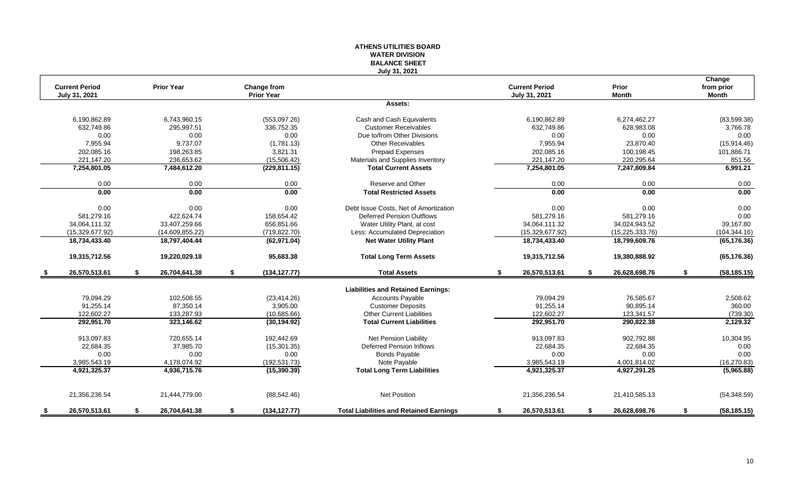|                                                  |                                                |                                           | <b>WATER DIVISION</b><br><b>BALANCE SHEET</b>                                               |                                                |                                                  |                                      |
|--------------------------------------------------|------------------------------------------------|-------------------------------------------|---------------------------------------------------------------------------------------------|------------------------------------------------|--------------------------------------------------|--------------------------------------|
| <b>Current Period</b><br>July 31, 2021           | <b>Prior Year</b>                              | Change from<br><b>Prior Year</b>          | July 31, 2021                                                                               | <b>Current Period</b><br>July 31, 2021         | Prior<br><b>Month</b>                            | Change<br>from prior<br><b>Month</b> |
|                                                  |                                                |                                           | Assets:                                                                                     |                                                |                                                  |                                      |
| 6,190,862.89<br>632,749.86                       | 6,743,960.15<br>295,997.51                     | (553,097.26)<br>336,752.35                | Cash and Cash Equivalents<br><b>Customer Receivables</b>                                    | 6,190,862.89<br>632,749.86                     | 6,274,462.27<br>628,983.08                       | (83,599.38)<br>3,766.78              |
| 0.00<br>7,955.94<br>202,085.16                   | 0.00<br>9,737.07<br>198,263.85                 | 0.00<br>(1,781.13)<br>3,821.31            | Due to/from Other Divisions<br><b>Other Receivables</b><br><b>Prepaid Expenses</b>          | 0.00<br>7,955.94<br>202,085.16                 | 0.00<br>23,870.40<br>100,198.45                  | 0.00<br>(15, 914.46)<br>101,886.71   |
| 221,147.20<br>7,254,801.05                       | 236,653.62<br>7,484,612.20                     | (15,506.42)<br>(229, 811.15)              | Materials and Supplies Inventory<br><b>Total Current Assets</b>                             | 221,147.20<br>7,254,801.05                     | 220,295.64<br>7,247,809.84                       | 851.56<br>6,991.21                   |
| 0.00                                             | 0.00                                           | 0.00                                      | Reserve and Other                                                                           | 0.00                                           | 0.00                                             | 0.00                                 |
| 0.00                                             | 0.00                                           | 0.00                                      | <b>Total Restricted Assets</b>                                                              | 0.00                                           | 0.00                                             | 0.00                                 |
| 0.00                                             | 0.00                                           | 0.00                                      | Debt Issue Costs, Net of Amortization                                                       | 0.00                                           | 0.00                                             | 0.00                                 |
| 581,279.16<br>34,064,111.32<br>(15, 329, 677.92) | 422,624.74<br>33,407,259.66<br>(14,609,855.22) | 158,654.42<br>656,851.66<br>(719, 822.70) | Deferred Pension Outflows<br>Water Utility Plant, at cost<br>Less: Accumulated Depreciation | 581,279.16<br>34,064,111.32<br>(15,329,677.92) | 581,279.16<br>34,024,943.52<br>(15, 225, 333.76) | 0.00<br>39,167.80<br>(104, 344.16)   |
| 18,734,433.40                                    | 18,797,404.44                                  | (62, 971.04)                              | <b>Net Water Utility Plant</b>                                                              | 18,734,433.40                                  | 18,799,609.76                                    | (65, 176.36)                         |
| 19,315,712.56                                    | 19,220,029.18                                  | 95,683.38                                 | <b>Total Long Term Assets</b>                                                               | 19,315,712.56                                  | 19,380,888.92                                    | (65, 176.36)                         |
| 26,570,513.61                                    | \$<br>26,704,641.38                            | \$<br>(134, 127.77)                       | <b>Total Assets</b>                                                                         | 26,570,513.61<br>\$                            | s.<br>26,628,698.76                              | \$<br>(58, 185.15)                   |
|                                                  |                                                |                                           | <b>Liabilities and Retained Earnings:</b>                                                   |                                                |                                                  |                                      |
| 79,094.29<br>91,255.14                           | 102,508.55<br>87,350.14                        | (23, 414.26)<br>3,905.00                  | <b>Accounts Payable</b><br><b>Customer Deposits</b>                                         | 79,094.29<br>91,255.14                         | 76,585.67<br>90,895.14                           | 2,508.62<br>360.00                   |
| 122,602.27                                       | 133,287.93                                     | (10,685.66)                               | <b>Other Current Liabilities</b>                                                            | 122,602.27                                     | 123,341.57                                       | (739.30)                             |
| 292,951.70                                       | 323,146.62                                     | (30, 194.92)                              | <b>Total Current Liabilities</b>                                                            | 292,951.70                                     | 290,822.38                                       | 2,129.32                             |
| 913,097.83<br>22,684.35                          | 720,655.14<br>37,985.70                        | 192,442.69<br>(15, 301.35)                | <b>Net Pension Liability</b><br>Deferred Pension Inflows                                    | 913,097.83<br>22,684.35                        | 902,792.88<br>22,684.35                          | 10,304.95<br>0.00                    |
| 0.00                                             | 0.00                                           | 0.00                                      | <b>Bonds Payable</b>                                                                        | 0.00                                           | 0.00                                             | 0.00                                 |
| 3,985,543.19                                     | 4,178,074.92                                   | (192, 531.73)                             | Note Payable                                                                                | 3,985,543.19                                   | 4,001,814.02                                     | (16, 270.83)                         |
| 4,921,325.37                                     | 4,936,715.76                                   | (15, 390.39)                              | <b>Total Long Term Liabilities</b>                                                          | 4,921,325.37                                   | 4,927,291.25                                     | (5,965.88)                           |
| 21,356,236.54                                    | 21,444,779.00                                  | (88, 542.46)                              | <b>Net Position</b>                                                                         | 21,356,236.54                                  | 21,410,585.13                                    | (54, 348.59)                         |
| 26.570.513.61<br>- \$                            | \$<br>26.704.641.38                            | \$<br>(134, 127.77)                       | <b>Total Liabilities and Retained Earnings</b>                                              | \$<br>26.570.513.61                            | 26.628.698.76<br>\$                              | (58, 185.15)<br>\$                   |

**ATHENS UTILITIES BOARD**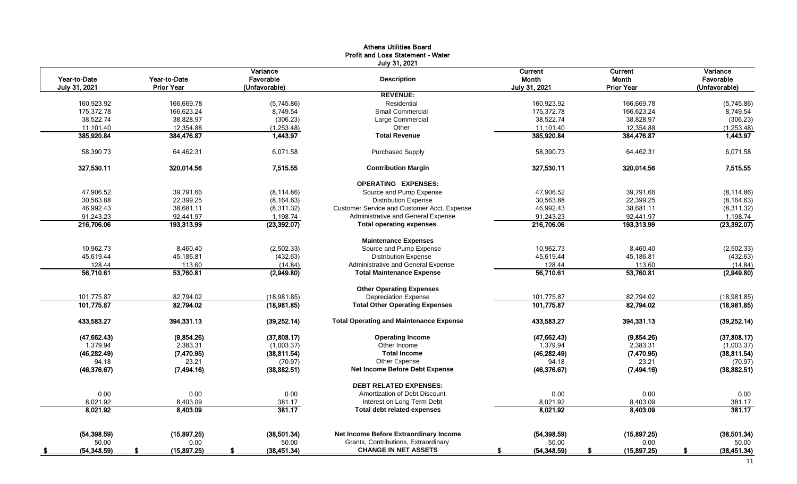|               |                   |                      | <b>Athens Utilities Board</b>                  |                   |                   |                   |
|---------------|-------------------|----------------------|------------------------------------------------|-------------------|-------------------|-------------------|
|               |                   |                      | <b>Profit and Loss Statement - Water</b>       |                   |                   |                   |
|               |                   |                      | July 31, 2021                                  |                   |                   |                   |
|               |                   | Variance             |                                                | <b>Current</b>    | Current           | Variance          |
| Year-to-Date  | Year-to-Date      | Favorable            | <b>Description</b>                             | Month             | Month             | Favorable         |
| July 31, 2021 | <b>Prior Year</b> | (Unfavorable)        |                                                | July 31, 2021     | <b>Prior Year</b> | (Unfavorable)     |
|               |                   |                      | <b>REVENUE:</b>                                |                   |                   |                   |
| 160,923.92    | 166,669.78        | (5,745.86)           | Residential                                    | 160,923.92        | 166,669.78        | (5,745.86)        |
| 175,372.78    | 166,623.24        | 8,749.54             | Small Commercial                               | 175,372.78        | 166,623.24        | 8,749.54          |
| 38,522.74     | 38,828.97         | (306.23)             | Large Commercial                               | 38,522.74         | 38,828.97         | (306.23)          |
| 11,101.40     | 12,354.88         | (1,253.48)           | Other                                          | 11,101.40         | 12,354.88         | (1,253.48)        |
| 385.920.84    | 384,476.87        | 1,443.97             | <b>Total Revenue</b>                           | 385,920.84        | 384,476.87        | 1.443.97          |
| 58,390.73     | 64,462.31         | 6,071.58             | <b>Purchased Supply</b>                        | 58,390.73         | 64,462.31         | 6,071.58          |
| 327,530.11    | 320,014.56        | 7,515.55             | <b>Contribution Margin</b>                     | 327,530.11        | 320,014.56        | 7,515.55          |
|               |                   |                      | <b>OPERATING EXPENSES:</b>                     |                   |                   |                   |
| 47,906.52     | 39,791.66         | (8, 114.86)          | Source and Pump Expense                        | 47,906.52         | 39,791.66         | (8, 114.86)       |
| 30,563.88     | 22,399.25         | (8, 164.63)          | <b>Distribution Expense</b>                    | 30,563.88         | 22,399.25         | (8, 164.63)       |
| 46,992.43     | 38,681.11         | (8,311.32)           | Customer Service and Customer Acct. Expense    | 46,992.43         | 38,681.11         | (8,311.32)        |
| 91,243.23     | 92,441.97         | 1,198.74             | Administrative and General Expense             | 91,243.23         | 92,441.97         | 1,198.74          |
| 216,706.06    | 193,313.99        | (23, 392.07)         | <b>Total operating expenses</b>                | 216,706.06        | 193,313.99        | (23, 392.07)      |
|               |                   |                      | <b>Maintenance Expenses</b>                    |                   |                   |                   |
| 10,962.73     | 8,460.40          | (2,502.33)           | Source and Pump Expense                        | 10,962.73         | 8,460.40          | (2,502.33)        |
| 45.619.44     | 45,186.81         | (432.63)             | <b>Distribution Expense</b>                    | 45,619.44         | 45,186.81         | (432.63)          |
| 128.44        | 113.60            | (14.84)              | Administrative and General Expense             | 128.44            | 113.60            | (14.84)           |
| 56,710.61     | 53,760.81         | (2,949.80)           | <b>Total Maintenance Expense</b>               | 56,710.61         | 53,760.81         | (2,949.80)        |
|               |                   |                      | <b>Other Operating Expenses</b>                |                   |                   |                   |
| 101,775.87    | 82,794.02         | (18,981.85)          | <b>Depreciation Expense</b>                    | 101.775.87        | 82,794.02         | (18,981.85)       |
| 101,775.87    | 82,794.02         | (18,981.85)          | <b>Total Other Operating Expenses</b>          | 101,775.87        | 82,794.02         | (18,981.85)       |
| 433,583.27    | 394,331.13        | (39, 252.14)         | <b>Total Operating and Maintenance Expense</b> | 433,583.27        | 394,331.13        | (39, 252.14)      |
| (47, 662.43)  | (9,854.26)        | (37,808.17)          | <b>Operating Income</b>                        | (47, 662.43)      | (9,854.26)        | (37,808.17)       |
| 1,379.94      | 2,383.31          | (1,003.37)           | Other Income                                   | 1,379.94          | 2,383.31          | (1,003.37)        |
| (46, 282.49)  | (7,470.95)        | (38, 811.54)         | <b>Total Income</b>                            | (46, 282.49)      | (7,470.95)        | (38, 811.54)      |
| 94.18         | 23.21             | (70.97)              | Other Expense                                  | 94.18             | 23.21             | (70.97)           |
| (46, 376.67)  | (7, 494.16)       | (38, 882.51)         | Net Income Before Debt Expense                 | (46, 376.67)      | (7, 494.16)       | (38, 882.51)      |
|               |                   |                      | <b>DEBT RELATED EXPENSES:</b>                  |                   |                   |                   |
| 0.00          | 0.00              | 0.00                 | Amortization of Debt Discount                  | 0.00              | 0.00              | 0.00              |
| 8,021.92      | 8,403.09          | 381.17               | Interest on Long Term Debt                     | 8,021.92          | 8,403.09          | 381.17            |
| 8,021.92      | 8,403.09          | 381.17               | <b>Total debt related expenses</b>             | 8,021.92          | 8,403.09          | 381.17            |
|               |                   |                      |                                                |                   |                   |                   |
| (54, 398.59)  | (15,897.25)       | (38,501.34)          | Net Income Before Extraordinary Income         | (54, 398.59)      | (15,897.25)       | (38,501.34)       |
| 50.00         | 0.00              | 50.00                | Grants, Contributions, Extraordinary           | 50.00             | 0.00              | 50.00             |
| (54, 348.59)  | (15,897.25)       | (38, 451.34)<br>- \$ | <b>CHANGE IN NET ASSETS</b>                    | (54,348.59)<br>-S | (15,897.25)<br>£. | (38, 451.34)<br>S |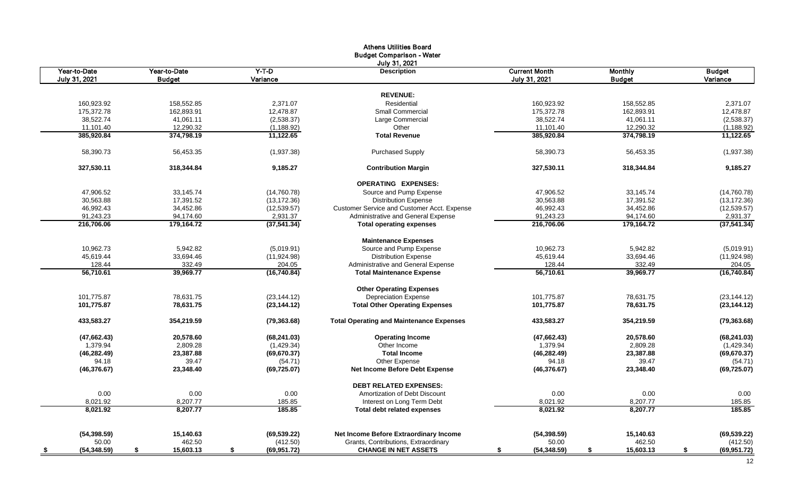|               |               |              | <b>Athens Utilities Board</b>                   |                      |               |               |
|---------------|---------------|--------------|-------------------------------------------------|----------------------|---------------|---------------|
|               |               |              | <b>Budget Comparison - Water</b>                |                      |               |               |
|               |               |              | July 31, 2021                                   |                      |               |               |
| Year-to-Date  | Year-to-Date  | $Y-T-D$      | <b>Description</b>                              | <b>Current Month</b> | Monthly       | <b>Budget</b> |
| July 31, 2021 | <b>Budget</b> | Variance     |                                                 | July 31, 2021        | <b>Budget</b> | Variance      |
|               |               |              |                                                 |                      |               |               |
|               |               |              | <b>REVENUE:</b>                                 |                      |               |               |
| 160,923.92    | 158,552.85    | 2,371.07     | Residential                                     | 160,923.92           | 158,552.85    | 2,371.07      |
| 175,372.78    | 162,893.91    | 12,478.87    | <b>Small Commercial</b>                         | 175,372.78           | 162,893.91    | 12,478.87     |
| 38,522.74     | 41,061.11     | (2,538.37)   | Large Commercial                                | 38,522.74            | 41,061.11     | (2,538.37)    |
| 11,101.40     | 12,290.32     | (1, 188.92)  | Other                                           | 11,101.40            | 12,290.32     | (1, 188.92)   |
| 385,920.84    | 374,798.19    | 11,122.65    | <b>Total Revenue</b>                            | 385,920.84           | 374,798.19    | 11,122.65     |
| 58,390.73     | 56,453.35     | (1,937.38)   | <b>Purchased Supply</b>                         | 58,390.73            | 56,453.35     | (1,937.38)    |
| 327,530.11    | 318,344.84    | 9,185.27     | <b>Contribution Margin</b>                      | 327,530.11           | 318,344.84    | 9,185.27      |
|               |               |              | <b>OPERATING EXPENSES:</b>                      |                      |               |               |
| 47,906.52     | 33,145.74     | (14,760.78)  | Source and Pump Expense                         | 47,906.52            | 33,145.74     | (14,760.78)   |
| 30,563.88     | 17,391.52     | (13, 172.36) | <b>Distribution Expense</b>                     | 30,563.88            | 17,391.52     | (13, 172.36)  |
| 46,992.43     | 34,452.86     | (12, 539.57) | Customer Service and Customer Acct. Expense     | 46,992.43            | 34,452.86     | (12, 539.57)  |
| 91,243.23     | 94,174.60     | 2,931.37     | Administrative and General Expense              | 91,243.23            | 94,174.60     | 2,931.37      |
| 216,706.06    | 179,164.72    | (37, 541.34) | <b>Total operating expenses</b>                 | 216,706.06           | 179,164.72    | (37, 541.34)  |
|               |               |              | <b>Maintenance Expenses</b>                     |                      |               |               |
| 10,962.73     | 5,942.82      | (5,019.91)   | Source and Pump Expense                         | 10,962.73            | 5,942.82      | (5,019.91)    |
| 45,619.44     | 33,694.46     | (11, 924.98) | <b>Distribution Expense</b>                     | 45,619.44            | 33,694.46     | (11, 924.98)  |
| 128.44        | 332.49        | 204.05       | Administrative and General Expense              | 128.44               | 332.49        | 204.05        |
| 56,710.61     | 39,969.77     | (16,740.84)  | <b>Total Maintenance Expense</b>                | 56,710.61            | 39,969.77     | (16,740.84)   |
|               |               |              | <b>Other Operating Expenses</b>                 |                      |               |               |
| 101,775.87    | 78,631.75     | (23, 144.12) | <b>Depreciation Expense</b>                     | 101,775.87           | 78,631.75     | (23, 144.12)  |
| 101,775.87    | 78,631.75     | (23, 144.12) | <b>Total Other Operating Expenses</b>           | 101,775.87           | 78,631.75     | (23, 144.12)  |
| 433,583.27    | 354,219.59    | (79, 363.68) | <b>Total Operating and Maintenance Expenses</b> | 433,583.27           | 354,219.59    | (79, 363.68)  |
| (47, 662.43)  | 20,578.60     | (68, 241.03) | <b>Operating Income</b>                         | (47, 662.43)         | 20,578.60     | (68, 241.03)  |
| 1,379.94      | 2,809.28      | (1,429.34)   | Other Income                                    | 1,379.94             | 2,809.28      | (1,429.34)    |
| (46, 282.49)  | 23,387.88     | (69, 670.37) | <b>Total Income</b>                             | (46, 282.49)         | 23,387.88     | (69, 670.37)  |
| 94.18         | 39.47         | (54.71)      | Other Expense                                   | 94.18                | 39.47         | (54.71)       |
| (46, 376.67)  | 23,348.40     | (69, 725.07) | <b>Net Income Before Debt Expense</b>           | (46, 376.67)         | 23,348.40     | (69, 725.07)  |
|               |               |              | <b>DEBT RELATED EXPENSES:</b>                   |                      |               |               |
| 0.00          | 0.00          | 0.00         | Amortization of Debt Discount                   | 0.00                 | 0.00          | 0.00          |
| 8,021.92      | 8,207.77      | 185.85       | Interest on Long Term Debt                      | 8,021.92             | 8,207.77      | 185.85        |
| 8,021.92      | 8,207.77      | 185.85       | Total debt related expenses                     | 8,021.92             | 8,207.77      | 185.85        |
|               |               |              |                                                 |                      |               |               |
| (54, 398.59)  | 15,140.63     | (69, 539.22) | Net Income Before Extraordinary Income          | (54, 398.59)         | 15,140.63     | (69, 539.22)  |
| 50.00         | 462.50        | (412.50)     | Grants, Contributions, Extraordinary            | 50.00                | 462.50        | (412.50)      |
| (54, 348.59)  | 15,603.13     | (69,951.72)  | <b>CHANGE IN NET ASSETS</b>                     | (54, 348.59)         | 15,603.13     | (69, 951.72)  |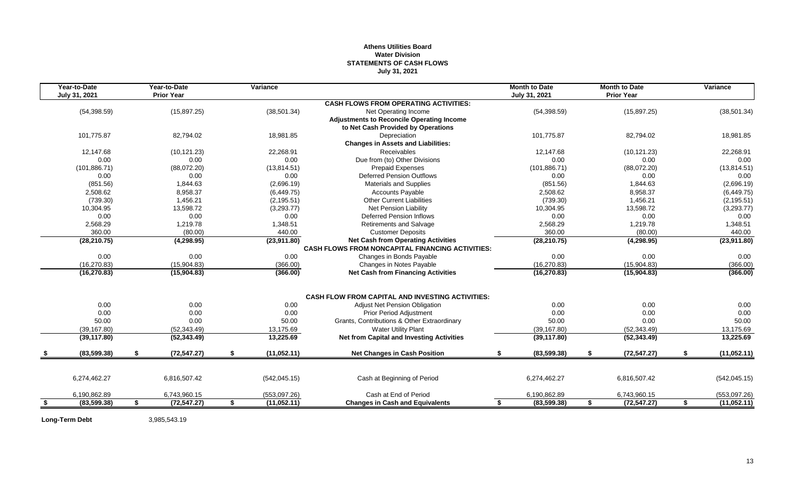## **Athens Utilities Board Water Division STATEMENTS OF CASH FLOWS July 31, 2021**

| Year-to-Date<br>July 31, 2021 | Year-to-Date<br><b>Prior Year</b> |    | Variance      |                                                         | <b>Month to Date</b><br>July 31, 2021 | <b>Month to Date</b><br><b>Prior Year</b> | Variance          |
|-------------------------------|-----------------------------------|----|---------------|---------------------------------------------------------|---------------------------------------|-------------------------------------------|-------------------|
|                               |                                   |    |               | <b>CASH FLOWS FROM OPERATING ACTIVITIES:</b>            |                                       |                                           |                   |
| (54, 398.59)                  | (15,897.25)                       |    | (38, 501.34)  | Net Operating Income                                    | (54, 398.59)                          | (15, 897.25)                              | (38, 501.34)      |
|                               |                                   |    |               | <b>Adjustments to Reconcile Operating Income</b>        |                                       |                                           |                   |
|                               |                                   |    |               | to Net Cash Provided by Operations                      |                                       |                                           |                   |
| 101,775.87                    | 82,794.02                         |    | 18,981.85     | Depreciation                                            | 101,775.87                            | 82,794.02                                 | 18,981.85         |
|                               |                                   |    |               | <b>Changes in Assets and Liabilities:</b>               |                                       |                                           |                   |
| 12,147.68                     | (10, 121.23)                      |    | 22,268.91     | <b>Receivables</b>                                      | 12,147.68                             | (10, 121.23)                              | 22,268.91         |
| 0.00                          | 0.00                              |    | 0.00          | Due from (to) Other Divisions                           | 0.00                                  | 0.00                                      | 0.00              |
| (101, 886.71)                 | (88,072.20)                       |    | (13, 814.51)  | <b>Prepaid Expenses</b>                                 | (101, 886.71)                         | (88,072.20)                               | (13, 814.51)      |
| 0.00                          | 0.00                              |    | 0.00          | <b>Deferred Pension Outflows</b>                        | 0.00                                  | 0.00                                      | 0.00              |
| (851.56)                      | 1,844.63                          |    | (2,696.19)    | <b>Materials and Supplies</b>                           | (851.56)                              | 1,844.63                                  | (2,696.19)        |
| 2,508.62                      | 8,958.37                          |    | (6,449.75)    | <b>Accounts Payable</b>                                 | 2,508.62                              | 8,958.37                                  | (6,449.75)        |
| (739.30)                      | 1,456.21                          |    | (2, 195.51)   | <b>Other Current Liabilities</b>                        | (739.30)                              | 1,456.21                                  | (2, 195.51)       |
| 10,304.95                     | 13,598.72                         |    | (3,293.77)    | <b>Net Pension Liability</b>                            | 10,304.95                             | 13,598.72                                 | (3,293.77)        |
| 0.00                          | 0.00                              |    | 0.00          | <b>Deferred Pension Inflows</b>                         | 0.00                                  | 0.00                                      | 0.00              |
| 2,568.29                      | 1,219.78                          |    | 1,348.51      | <b>Retirements and Salvage</b>                          | 2,568.29                              | 1,219.78                                  | 1,348.51          |
| 360.00                        | (80.00)                           |    | 440.00        | <b>Customer Deposits</b>                                | 360.00                                | (80.00)                                   | 440.00            |
| (28, 210.75)                  | (4, 298.95)                       |    | (23,911.80)   | <b>Net Cash from Operating Activities</b>               | (28, 210.75)                          | (4, 298.95)                               | (23,911.80)       |
|                               |                                   |    |               | <b>CASH FLOWS FROM NONCAPITAL FINANCING ACTIVITIES:</b> |                                       |                                           |                   |
| 0.00                          | 0.00                              |    | 0.00          | Changes in Bonds Payable                                | 0.00                                  | 0.00                                      | 0.00              |
| (16, 270.83)                  | (15,904.83)                       |    | (366.00)      | Changes in Notes Payable                                | (16, 270.83)                          | (15,904.83)                               | (366.00)          |
| (16, 270.83)                  | (15,904.83)                       |    | (366.00)      | <b>Net Cash from Financing Activities</b>               | (16, 270.83)                          | (15,904.83)                               | (366.00)          |
|                               |                                   |    |               | <b>CASH FLOW FROM CAPITAL AND INVESTING ACTIVITIES:</b> |                                       |                                           |                   |
| 0.00                          | 0.00                              |    | 0.00          | <b>Adjust Net Pension Obligation</b>                    | 0.00                                  | 0.00                                      | 0.00              |
| 0.00                          | 0.00                              |    | 0.00          | <b>Prior Period Adjustment</b>                          | 0.00                                  | 0.00                                      | 0.00              |
| 50.00                         | 0.00                              |    | 50.00         | Grants, Contributions & Other Extraordinary             | 50.00                                 | 0.00                                      | 50.00             |
| (39, 167.80)                  | (52, 343.49)                      |    | 13,175.69     | <b>Water Utility Plant</b>                              | (39, 167.80)                          | (52, 343.49)                              | 13,175.69         |
| (39, 117.80)                  | (52, 343.49)                      |    | 13,225.69     | Net from Capital and Investing Activities               | (39, 117.80)                          | (52, 343.49)                              | 13,225.69         |
| (83,599.38)                   | \$<br>(72, 547.27)                | \$ | (11,052.11)   | <b>Net Changes in Cash Position</b>                     | \$<br>(83,599.38)                     | \$<br>(72, 547.27)                        | \$<br>(11,052.11) |
|                               |                                   |    |               |                                                         |                                       |                                           |                   |
| 6,274,462.27                  | 6,816,507.42                      |    | (542, 045.15) | Cash at Beginning of Period                             | 6,274,462.27                          | 6,816,507.42                              | (542, 045.15)     |
| 6,190,862.89                  | 6,743,960.15                      |    | (553,097.26)  | Cash at End of Period                                   | 6,190,862.89                          | 6,743,960.15                              | (553,097.26)      |
| (83,599.38)                   | \$<br>(72, 547.27)                | S. | (11,052.11)   | <b>Changes in Cash and Equivalents</b>                  | (83,599.38)                           | (72, 547.27)                              | \$<br>(11,052.11) |

Long-Term Debt 3,985,543.19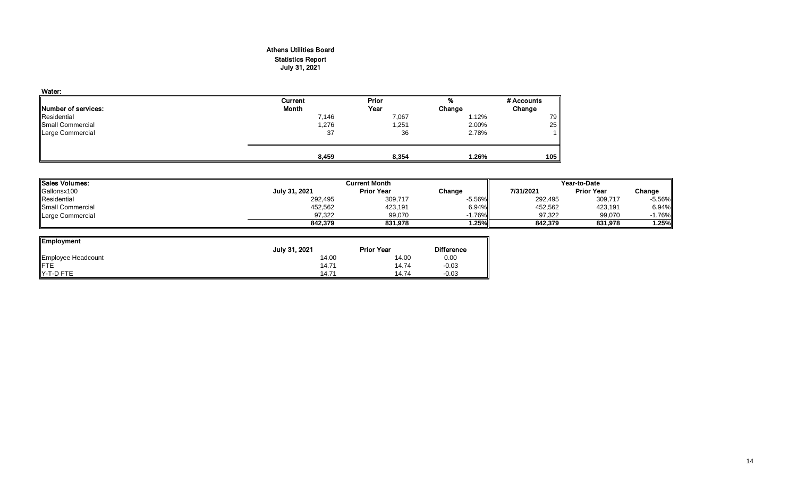## Athens Utilities Board Statistics Report July 31, 2021

| Water:              |         |       |        |            |
|---------------------|---------|-------|--------|------------|
|                     | Current | Prior | %      | # Accounts |
| Number of services: | Month   | Year  | Change | Change     |
| Residential         | 7,146   | 7,067 | 1.12%  | 79         |
| Small Commercial    | 1,276   | 1,251 | 2.00%  | 25         |
| Large Commercial    | 37      | 36    | 2.78%  |            |
|                     | 8,459   | 8,354 | 1.26%  | 105        |

| <b>ISales Volumes:</b> |               | <b>Current Month</b> | Year-to-Date |           |                   |          |
|------------------------|---------------|----------------------|--------------|-----------|-------------------|----------|
| Gallonsx100            | July 31, 2021 | <b>Prior Year</b>    | Change       | 7/31/2021 | <b>Prior Year</b> | Change   |
| Residential            | 292,495       | 309,717              | $-5.56\%$    | 292,495   | 309,717           | $-5.56%$ |
| Small Commercial       | 452,562       | 423,191              | 6.94%        | 452,562   | 423,191           | 6.94%    |
| Large Commercial       | 97,322        | 99,070               | $-1.76\%$    | 97,322    | 99,070            | 1.76%    |
|                        | 842.379       | 831.978              | 1.25%        | 842.379   | 831.978           | $1.25\%$ |

| <b>Employment</b>  |               |                   |                   |
|--------------------|---------------|-------------------|-------------------|
|                    | July 31, 2021 | <b>Prior Year</b> | <b>Difference</b> |
| Employee Headcount | 14.00         | 14.00             | 0.00              |
| FTE<br>Y-T-D FTE   | 14.71         | 14.74             | $-0.03$           |
|                    | 14.71         | 14.74             | $-0.03$           |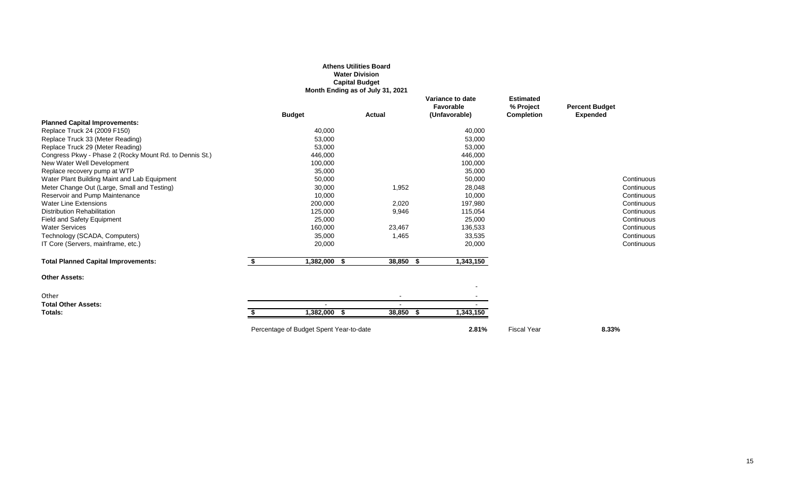### **Athens Utilities Board Water Division Capital Budget**

**Month Ending as of July 31, 2021**

|                                                         | <b>Budget</b> | <b>Actual</b> | Variance to date<br>Favorable<br>(Unfavorable) | <b>Estimated</b><br>% Project<br><b>Completion</b> | <b>Percent Budget</b><br><b>Expended</b> |            |
|---------------------------------------------------------|---------------|---------------|------------------------------------------------|----------------------------------------------------|------------------------------------------|------------|
| <b>Planned Capital Improvements:</b>                    |               |               |                                                |                                                    |                                          |            |
| Replace Truck 24 (2009 F150)                            | 40,000        |               | 40,000                                         |                                                    |                                          |            |
| Replace Truck 33 (Meter Reading)                        | 53,000        |               | 53,000                                         |                                                    |                                          |            |
| Replace Truck 29 (Meter Reading)                        | 53,000        |               | 53,000                                         |                                                    |                                          |            |
| Congress Pkwy - Phase 2 (Rocky Mount Rd. to Dennis St.) | 446,000       |               | 446,000                                        |                                                    |                                          |            |
| New Water Well Development                              | 100,000       |               | 100,000                                        |                                                    |                                          |            |
| Replace recovery pump at WTP                            | 35,000        |               | 35,000                                         |                                                    |                                          |            |
| Water Plant Building Maint and Lab Equipment            | 50,000        |               | 50,000                                         |                                                    |                                          | Continuous |
| Meter Change Out (Large, Small and Testing)             | 30,000        | 1,952         | 28,048                                         |                                                    |                                          | Continuous |
| Reservoir and Pump Maintenance                          | 10,000        |               | 10,000                                         |                                                    |                                          | Continuous |
| <b>Water Line Extensions</b>                            | 200,000       | 2,020         | 197,980                                        |                                                    |                                          | Continuous |
| <b>Distribution Rehabilitation</b>                      | 125,000       | 9,946         | 115,054                                        |                                                    |                                          | Continuous |
| Field and Safety Equipment                              | 25,000        |               | 25,000                                         |                                                    |                                          | Continuous |
| <b>Water Services</b>                                   | 160,000       | 23,467        | 136,533                                        |                                                    |                                          | Continuous |
| Technology (SCADA, Computers)                           | 35,000        | 1,465         | 33,535                                         |                                                    |                                          | Continuous |
| IT Core (Servers, mainframe, etc.)                      | 20,000        |               | 20,000                                         |                                                    |                                          | Continuous |
| <b>Total Planned Capital Improvements:</b>              | 1,382,000 \$  | 38,850        | 1,343,150                                      |                                                    |                                          |            |
| <b>Other Assets:</b>                                    |               |               |                                                |                                                    |                                          |            |
|                                                         |               |               |                                                |                                                    |                                          |            |
| Other                                                   |               |               |                                                |                                                    |                                          |            |
| <b>Total Other Assets:</b>                              |               |               |                                                |                                                    |                                          |            |
| Totals:                                                 | 1,382,000 \$  | 38,850        | 1,343,150                                      |                                                    |                                          |            |
|                                                         |               |               |                                                |                                                    |                                          |            |

Percentage of Budget Spent Year-to-date **2.81%** Percentage of Budget Spent Year **8.33%**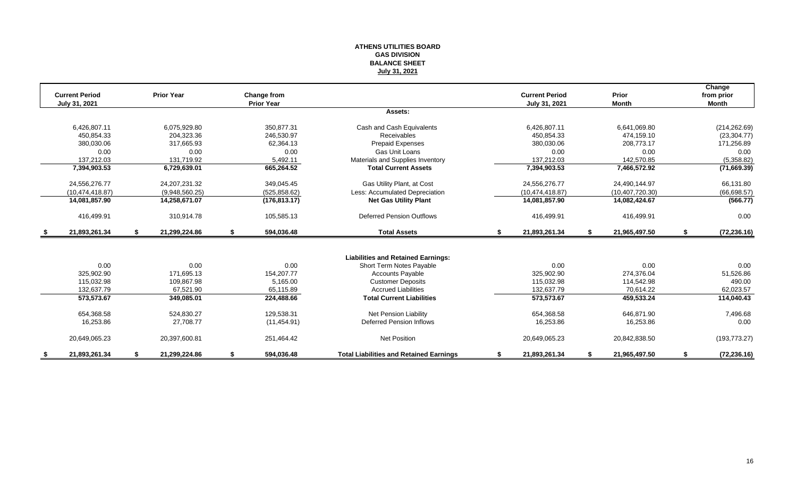#### **ATHENS UTILITIES BOARD GAS DIVISION BALANCE SHEET July 31, 2021**

|    | <b>Current Period</b> |    | <b>Prior Year</b> | Change from       |                                                |    | <b>Current Period</b> |    | Prior             | Change<br>from prior |
|----|-----------------------|----|-------------------|-------------------|------------------------------------------------|----|-----------------------|----|-------------------|----------------------|
|    | July 31, 2021         |    |                   | <b>Prior Year</b> |                                                |    | July 31, 2021         |    | Month             | <b>Month</b>         |
|    |                       |    |                   |                   | Assets:                                        |    |                       |    |                   |                      |
|    | 6,426,807.11          |    | 6,075,929.80      | 350,877.31        | Cash and Cash Equivalents                      |    | 6,426,807.11          |    | 6,641,069.80      | (214, 262.69)        |
|    | 450.854.33            |    | 204.323.36        | 246.530.97        | Receivables                                    |    | 450.854.33            |    | 474.159.10        | (23, 304.77)         |
|    | 380,030.06            |    | 317,665.93        | 62,364.13         | <b>Prepaid Expenses</b>                        |    | 380,030.06            |    | 208,773.17        | 171,256.89           |
|    | 0.00                  |    | 0.00              | 0.00              | Gas Unit Loans                                 |    | 0.00                  |    | 0.00              | 0.00                 |
|    | 137,212.03            |    | 131,719.92        | 5,492.11          | Materials and Supplies Inventory               |    | 137,212.03            |    | 142,570.85        | (5,358.82)           |
|    | 7,394,903.53          |    | 6,729,639.01      | 665,264.52        | <b>Total Current Assets</b>                    |    | 7,394,903.53          |    | 7,466,572.92      | (71,669.39)          |
|    | 24,556,276.77         |    | 24, 207, 231. 32  | 349,045.45        | Gas Utility Plant, at Cost                     |    | 24,556,276.77         |    | 24,490,144.97     | 66,131.80            |
|    | (10.474.418.87)       |    | (9,948,560.25)    | (525, 858.62)     | Less: Accumulated Depreciation                 |    | (10, 474, 418.87)     |    | (10, 407, 720.30) | (66, 698.57)         |
|    | 14,081,857.90         |    | 14,258,671.07     | (176, 813.17)     | <b>Net Gas Utility Plant</b>                   |    | 14,081,857.90         |    | 14,082,424.67     | (566.77)             |
|    | 416,499.91            |    | 310,914.78        | 105,585.13        | <b>Deferred Pension Outflows</b>               |    | 416,499.91            |    | 416,499.91        | 0.00                 |
| \$ | 21,893,261.34         | S. | 21,299,224.86     | \$<br>594,036.48  | <b>Total Assets</b>                            | S. | 21,893,261.34         | S. | 21,965,497.50     | \$<br>(72, 236.16)   |
|    |                       |    |                   |                   |                                                |    |                       |    |                   |                      |
|    |                       |    |                   |                   | <b>Liabilities and Retained Earnings:</b>      |    |                       |    |                   |                      |
|    | 0.00                  |    | 0.00              | 0.00              | Short Term Notes Payable                       |    | 0.00                  |    | 0.00              | 0.00                 |
|    | 325,902.90            |    | 171,695.13        | 154.207.77        | <b>Accounts Payable</b>                        |    | 325,902.90            |    | 274,376.04        | 51,526.86            |
|    | 115.032.98            |    | 109.867.98        | 5.165.00          | <b>Customer Deposits</b>                       |    | 115,032.98            |    | 114.542.98        | 490.00               |
|    | 132,637.79            |    | 67,521.90         | 65,115.89         | <b>Accrued Liabilities</b>                     |    | 132,637.79            |    | 70,614.22         | 62,023.57            |
|    | 573,573.67            |    | 349,085.01        | 224,488.66        | <b>Total Current Liabilities</b>               |    | 573,573.67            |    | 459,533.24        | 114,040.43           |
|    | 654,368.58            |    | 524,830.27        | 129,538.31        | <b>Net Pension Liability</b>                   |    | 654,368.58            |    | 646,871.90        | 7,496.68             |
|    | 16,253.86             |    | 27,708.77         | (11, 454.91)      | Deferred Pension Inflows                       |    | 16,253.86             |    | 16,253.86         | 0.00                 |
|    | 20,649,065.23         |    | 20,397,600.81     | 251,464.42        | <b>Net Position</b>                            |    | 20,649,065.23         |    | 20,842,838.50     | (193, 773.27)        |
| S. | 21,893,261.34         | \$ | 21,299,224.86     | \$<br>594,036.48  | <b>Total Liabilities and Retained Earnings</b> | S  | 21,893,261.34         | S. | 21,965,497.50     | \$<br>(72, 236.16)   |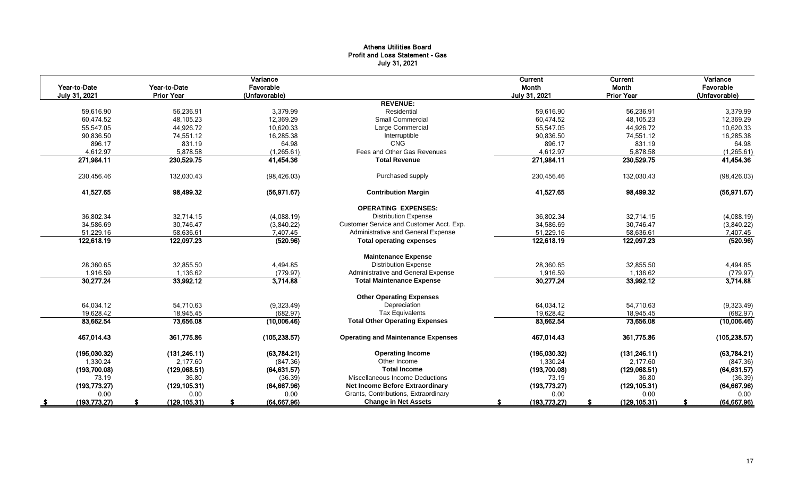## Athens Utilities Board Profit and Loss Statement - Gas July 31, 2021

| Year-to-Date         | Year-to-Date      | Variance<br>Favorable |                                           | Current<br>Month | Current<br>Month  | Variance<br>Favorable |
|----------------------|-------------------|-----------------------|-------------------------------------------|------------------|-------------------|-----------------------|
| July 31, 2021        | <b>Prior Year</b> | (Unfavorable)         | <b>REVENUE:</b>                           | July 31, 2021    | <b>Prior Year</b> | (Unfavorable)         |
| 59,616.90            | 56,236.91         | 3,379.99              | Residential                               | 59,616.90        | 56,236.91         | 3,379.99              |
| 60,474.52            | 48,105.23         | 12,369.29             | <b>Small Commercial</b>                   | 60.474.52        | 48,105.23         | 12,369.29             |
| 55.547.05            | 44,926.72         | 10.620.33             | Large Commercial                          | 55.547.05        | 44,926.72         | 10,620.33             |
| 90,836.50            | 74,551.12         | 16,285.38             | Interruptible                             | 90,836.50        | 74,551.12         | 16,285.38             |
| 896.17               | 831.19            | 64.98                 | CNG                                       | 896.17           | 831.19            | 64.98                 |
| 4,612.97             | 5,878.58          | (1,265.61)            | Fees and Other Gas Revenues               | 4,612.97         | 5,878.58          | (1,265.61)            |
| 271,984.11           | 230,529.75        | 41,454.36             | <b>Total Revenue</b>                      | 271,984.11       | 230,529.75        | 41,454.36             |
| 230,456.46           | 132,030.43        | (98, 426.03)          | Purchased supply                          | 230,456.46       | 132,030.43        | (98, 426.03)          |
| 41,527.65            | 98,499.32         | (56, 971.67)          | <b>Contribution Margin</b>                | 41,527.65        | 98,499.32         | (56, 971.67)          |
|                      |                   |                       | <b>OPERATING EXPENSES:</b>                |                  |                   |                       |
| 36,802.34            | 32,714.15         | (4,088.19)            | <b>Distribution Expense</b>               | 36,802.34        | 32,714.15         | (4,088.19)            |
| 34.586.69            | 30.746.47         | (3,840.22)            | Customer Service and Customer Acct. Exp.  | 34.586.69        | 30,746.47         | (3,840.22)            |
| 51,229.16            | 58,636.61         | 7,407.45              | Administrative and General Expense        | 51,229.16        | 58,636.61         | 7,407.45              |
| 122,618.19           | 122,097.23        | (520.96)              | <b>Total operating expenses</b>           | 122,618.19       | 122,097.23        | (520.96)              |
|                      |                   |                       | <b>Maintenance Expense</b>                |                  |                   |                       |
| 28,360.65            | 32,855.50         | 4,494.85              | <b>Distribution Expense</b>               | 28,360.65        | 32,855.50         | 4,494.85              |
| 1,916.59             | 1,136.62          | (779.97)              | Administrative and General Expense        | 1,916.59         | 1,136.62          | (779.97)              |
| 30,277.24            | 33,992.12         | 3,714.88              | <b>Total Maintenance Expense</b>          | 30,277.24        | 33,992.12         | 3,714.88              |
|                      |                   |                       | <b>Other Operating Expenses</b>           |                  |                   |                       |
| 64,034.12            | 54,710.63         | (9,323.49)            | Depreciation                              | 64,034.12        | 54,710.63         | (9,323.49)            |
| 19,628.42            | 18,945.45         | (682.97)              | <b>Tax Equivalents</b>                    | 19,628.42        | 18,945.45         | (682.97)              |
| 83,662.54            | 73,656.08         | (10,006.46)           | <b>Total Other Operating Expenses</b>     | 83,662.54        | 73,656.08         | (10,006.46)           |
| 467,014.43           | 361,775.86        | (105, 238.57)         | <b>Operating and Maintenance Expenses</b> | 467,014.43       | 361,775.86        | (105, 238.57)         |
| (195,030.32)         | (131, 246.11)     | (63,784.21)           | <b>Operating Income</b>                   | (195,030.32)     | (131, 246.11)     | (63,784.21)           |
| 1,330.24             | 2,177.60          | (847.36)              | Other Income                              | 1,330.24         | 2,177.60          | (847.36)              |
| (193,700.08)         | (129,068.51)      | (64, 631.57)          | <b>Total Income</b>                       | (193,700.08)     | (129,068.51)      | (64, 631.57)          |
| 73.19                | 36.80             | (36.39)               | Miscellaneous Income Deductions           | 73.19            | 36.80             | (36.39)               |
| (193, 773.27)        | (129, 105.31)     | (64, 667.96)          | Net Income Before Extraordinary           | (193, 773.27)    | (129, 105.31)     | (64, 667.96)          |
| 0.00                 | 0.00              | 0.00                  | Grants, Contributions, Extraordinary      | 0.00             | 0.00              | 0.00                  |
| (193, 773.27)<br>- 5 | (129, 105.31)     | (64, 667.96)          | <b>Change in Net Assets</b>               | (193, 773.27)    | (129, 105.31)     | (64, 667.96)          |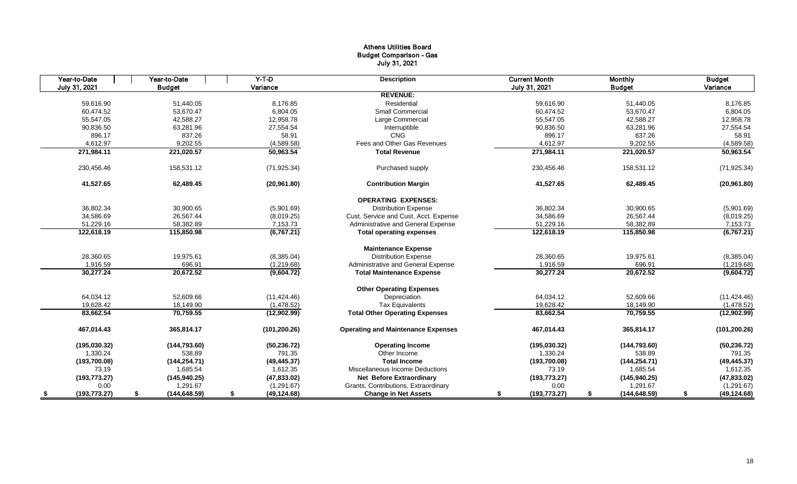## Athens Utilities Board Budget Comparison - Gas July 31, 2021

| Year-to-Date  | Year-to-Date  |               |    | $Y-T-D$       | <b>Description</b>                        | <b>Current Month</b> | <b>Monthly</b>      | <b>Budget</b>      |
|---------------|---------------|---------------|----|---------------|-------------------------------------------|----------------------|---------------------|--------------------|
| July 31, 2021 | <b>Budget</b> |               |    | Variance      |                                           | July 31, 2021        | <b>Budget</b>       | Variance           |
|               |               |               |    |               | <b>REVENUE:</b>                           |                      |                     |                    |
| 59.616.90     |               | 51,440.05     |    | 8.176.85      | Residential                               | 59.616.90            | 51,440.05           | 8,176.85           |
| 60,474.52     |               | 53,670.47     |    | 6,804.05      | <b>Small Commercial</b>                   | 60,474.52            | 53,670.47           | 6,804.05           |
| 55,547.05     |               | 42,588.27     |    | 12,958.78     | Large Commercial                          | 55,547.05            | 42,588.27           | 12,958.78          |
| 90,836.50     |               | 63,281.96     |    | 27,554.54     | Interruptible                             | 90,836.50            | 63,281.96           | 27,554.54          |
| 896.17        |               | 837.26        |    | 58.91         | CNG                                       | 896.17               | 837.26              | 58.91              |
| 4,612.97      |               | 9,202.55      |    | (4,589.58)    | Fees and Other Gas Revenues               | 4,612.97             | 9,202.55            | (4,589.58)         |
| 271,984.11    |               | 221,020.57    |    | 50,963.54     | <b>Total Revenue</b>                      | 271,984.11           | 221,020.57          | 50,963.54          |
| 230,456.46    |               | 158,531.12    |    | (71, 925.34)  | Purchased supply                          | 230,456.46           | 158,531.12          | (71, 925.34)       |
| 41,527.65     |               | 62,489.45     |    | (20,961.80)   | <b>Contribution Margin</b>                | 41,527.65            | 62,489.45           | (20,961.80)        |
|               |               |               |    |               | <b>OPERATING EXPENSES:</b>                |                      |                     |                    |
| 36,802.34     |               | 30,900.65     |    | (5,901.69)    | <b>Distribution Expense</b>               | 36,802.34            | 30,900.65           | (5,901.69)         |
| 34,586.69     |               | 26,567.44     |    | (8,019.25)    | Cust. Service and Cust. Acct. Expense     | 34,586.69            | 26,567.44           | (8,019.25)         |
| 51,229.16     |               | 58,382.89     |    | 7,153.73      | Administrative and General Expense        | 51,229.16            | 58,382.89           | 7,153.73           |
| 122,618.19    |               | 115,850.98    |    | (6, 767.21)   | <b>Total operating expenses</b>           | 122,618.19           | 115,850.98          | (6, 767.21)        |
|               |               |               |    |               | <b>Maintenance Expense</b>                |                      |                     |                    |
| 28,360.65     |               | 19,975.61     |    | (8,385.04)    | <b>Distribution Expense</b>               | 28,360.65            | 19,975.61           | (8,385.04)         |
| 1,916.59      |               | 696.91        |    | (1,219.68)    | Administrative and General Expense        | 1,916.59             | 696.91              | (1,219.68)         |
| 30,277.24     |               | 20,672.52     |    | (9,604.72)    | <b>Total Maintenance Expense</b>          | 30,277.24            | 20,672.52           | (9,604.72)         |
|               |               |               |    |               | <b>Other Operating Expenses</b>           |                      |                     |                    |
| 64,034.12     |               | 52,609.66     |    | (11, 424.46)  | Depreciation                              | 64,034.12            | 52,609.66           | (11, 424.46)       |
| 19,628.42     |               | 18,149.90     |    | (1,478.52)    | <b>Tax Equivalents</b>                    | 19,628.42            | 18,149.90           | (1,478.52)         |
| 83,662.54     |               | 70,759.55     |    | (12,902.99)   | <b>Total Other Operating Expenses</b>     | 83,662.54            | 70,759.55           | (12,902.99)        |
| 467,014.43    |               | 365,814.17    |    | (101, 200.26) | <b>Operating and Maintenance Expenses</b> | 467,014.43           | 365,814.17          | (101, 200.26)      |
| (195,030.32)  |               | (144, 793.60) |    | (50, 236.72)  | <b>Operating Income</b>                   | (195,030.32)         | (144, 793.60)       | (50, 236.72)       |
| 1,330.24      |               | 538.89        |    | 791.35        | Other Income                              | 1,330.24             | 538.89              | 791.35             |
| (193,700.08)  |               | (144, 254.71) |    | (49, 445.37)  | <b>Total Income</b>                       | (193,700.08)         | (144, 254.71)       | (49, 445.37)       |
| 73.19         |               | 1,685.54      |    | 1,612.35      | Miscellaneous Income Deductions           | 73.19                | 1,685.54            | 1,612.35           |
| (193, 773.27) |               | (145, 940.25) |    | (47, 833.02)  | <b>Net Before Extraordinary</b>           | (193, 773.27)        | (145, 940.25)       | (47, 833.02)       |
| 0.00          |               | 1,291.67      |    | (1,291.67)    | Grants, Contributions, Extraordinary      | 0.00                 | 1,291.67            | (1,291.67)         |
| (193, 773.27) | S             | (144, 648.59) | -S | (49, 124.68)  | <b>Change in Net Assets</b>               | (193, 773.27)        | \$<br>(144, 648.59) | \$<br>(49, 124.68) |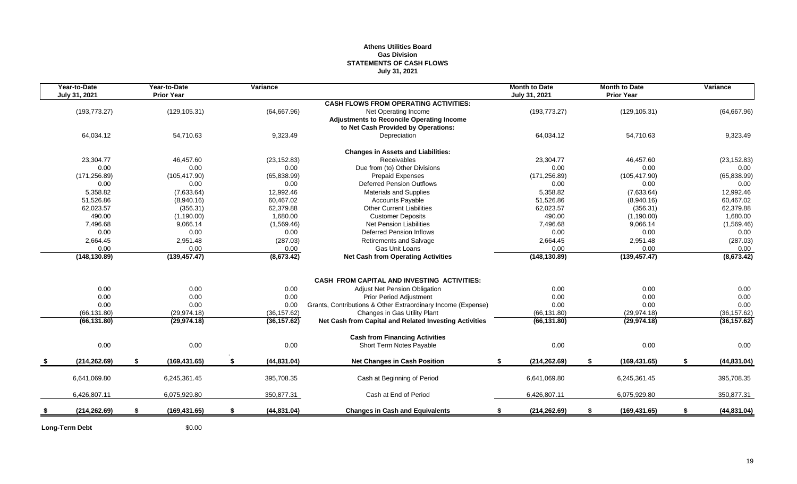## **Athens Utilities Board Gas Division STATEMENTS OF CASH FLOWS July 31, 2021**

| Year-to-Date<br>July 31, 2021 | Year-to-Date<br><b>Prior Year</b> | Variance           |                                                              | <b>Month to Date</b><br>July 31, 2021 |    | <b>Month to Date</b><br><b>Prior Year</b> | Variance           |
|-------------------------------|-----------------------------------|--------------------|--------------------------------------------------------------|---------------------------------------|----|-------------------------------------------|--------------------|
|                               |                                   |                    | <b>CASH FLOWS FROM OPERATING ACTIVITIES:</b>                 |                                       |    |                                           |                    |
| (193, 773.27)                 | (129, 105.31)                     | (64, 667.96)       | Net Operating Income                                         | (193, 773.27)                         |    | (129, 105.31)                             | (64, 667.96)       |
|                               |                                   |                    | <b>Adjustments to Reconcile Operating Income</b>             |                                       |    |                                           |                    |
|                               |                                   |                    | to Net Cash Provided by Operations:                          |                                       |    |                                           |                    |
| 64,034.12                     | 54,710.63                         | 9,323.49           | Depreciation                                                 | 64,034.12                             |    | 54,710.63                                 | 9,323.49           |
|                               |                                   |                    | <b>Changes in Assets and Liabilities:</b>                    |                                       |    |                                           |                    |
| 23,304.77                     | 46,457.60                         | (23, 152.83)       | Receivables                                                  | 23,304.77                             |    | 46,457.60                                 | (23, 152.83)       |
| 0.00                          | 0.00                              | 0.00               | Due from (to) Other Divisions                                | 0.00                                  |    | 0.00                                      | 0.00               |
| (171, 256.89)                 | (105, 417.90)                     | (65,838.99)        | <b>Prepaid Expenses</b>                                      | (171, 256.89)                         |    | (105, 417.90)                             | (65, 838.99)       |
| 0.00                          | 0.00                              | 0.00               | Deferred Pension Outflows                                    | 0.00                                  |    | 0.00                                      | 0.00               |
| 5,358.82                      | (7,633.64)                        | 12,992.46          | <b>Materials and Supplies</b>                                | 5,358.82                              |    | (7,633.64)                                | 12,992.46          |
| 51.526.86                     | (8,940.16)                        | 60,467.02          | <b>Accounts Payable</b>                                      | 51.526.86                             |    | (8,940.16)                                | 60,467.02          |
| 62,023.57                     | (356.31)                          | 62,379.88          | <b>Other Current Liabilities</b>                             | 62,023.57                             |    | (356.31)                                  | 62,379.88          |
| 490.00                        | (1,190.00)                        | 1,680.00           | <b>Customer Deposits</b>                                     | 490.00                                |    | (1, 190.00)                               | 1,680.00           |
| 7,496.68                      | 9,066.14                          | (1,569.46)         | Net Pension Liabilities                                      | 7,496.68                              |    | 9,066.14                                  | (1,569.46)         |
| 0.00                          | 0.00                              | 0.00               | <b>Deferred Pension Inflows</b>                              | 0.00                                  |    | 0.00                                      | 0.00               |
| 2,664.45                      | 2,951.48                          | (287.03)           | <b>Retirements and Salvage</b>                               | 2,664.45                              |    | 2,951.48                                  | (287.03)           |
| 0.00                          | 0.00                              | $0.00\,$           | Gas Unit Loans                                               | 0.00                                  |    | 0.00                                      | 0.00               |
| (148, 130.89)                 | (139, 457.47)                     | (8,673.42)         | <b>Net Cash from Operating Activities</b>                    | (148, 130.89)                         |    | (139, 457.47)                             | (8,673.42)         |
|                               |                                   |                    |                                                              |                                       |    |                                           |                    |
|                               |                                   |                    | <b>CASH FROM CAPITAL AND INVESTING ACTIVITIES:</b>           |                                       |    |                                           |                    |
| 0.00                          | 0.00                              | 0.00               | Adjust Net Pension Obligation                                | 0.00                                  |    | 0.00                                      | 0.00               |
| 0.00                          | 0.00                              | 0.00               | Prior Period Adjustment                                      | 0.00                                  |    | 0.00                                      | 0.00               |
| 0.00                          | 0.00                              | 0.00               | Grants, Contributions & Other Extraordinary Income (Expense) | 0.00                                  |    | 0.00                                      | 0.00               |
| (66, 131.80)                  | (29, 974.18)                      | (36, 157.62)       | Changes in Gas Utility Plant                                 | (66, 131.80)                          |    | (29, 974.18)                              | (36, 157.62)       |
| (66, 131.80)                  | (29, 974.18)                      | (36, 157.62)       | Net Cash from Capital and Related Investing Activities       | (66, 131.80)                          |    | (29, 974.18)                              | (36, 157.62)       |
|                               |                                   |                    | <b>Cash from Financing Activities</b>                        |                                       |    |                                           |                    |
| 0.00                          | 0.00                              | 0.00               | Short Term Notes Payable                                     | 0.00                                  |    | 0.00                                      | 0.00               |
| (214, 262.69)                 | \$<br>(169, 431.65)               | \$<br>(44, 831.04) | <b>Net Changes in Cash Position</b>                          | (214, 262.69)<br>\$                   | \$ | (169, 431.65)                             | \$<br>(44, 831.04) |
| 6,641,069.80                  | 6,245,361.45                      |                    | Cash at Beginning of Period                                  |                                       |    | 6,245,361.45                              |                    |
|                               |                                   | 395,708.35         |                                                              | 6,641,069.80                          |    |                                           | 395,708.35         |
| 6,426,807.11                  | 6,075,929.80                      | 350,877.31         | Cash at End of Period                                        | 6,426,807.11                          |    | 6,075,929.80                              | 350,877.31         |
| (214, 262.69)                 | \$<br>(169, 431.65)               | \$<br>(44, 831.04) | <b>Changes in Cash and Equivalents</b>                       | (214, 262.69)<br>\$                   | \$ | (169, 431.65)                             | \$<br>(44, 831.04) |
|                               |                                   |                    |                                                              |                                       |    |                                           |                    |

**Long-Term Debt** \$0.00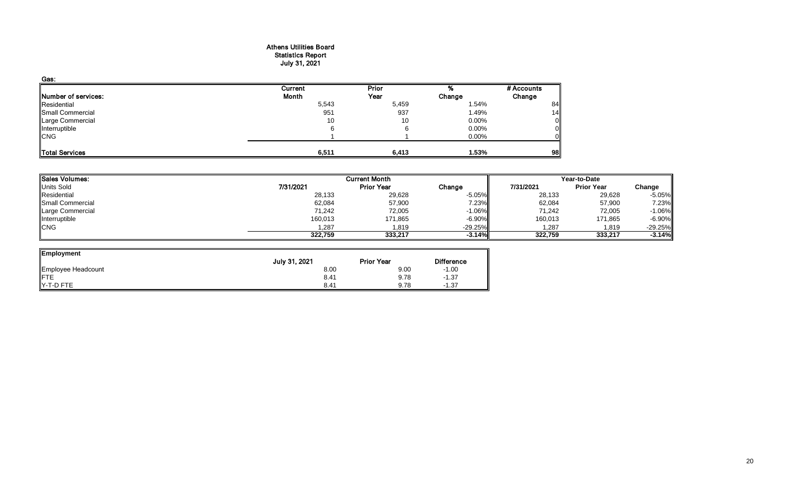#### Athens Utilities Board Statistics Report July 31, 2021

| Gas:                |         |              |          |            |
|---------------------|---------|--------------|----------|------------|
|                     | Current | <b>Prior</b> |          | # Accounts |
| Number of services: | Month   | Year         | Change   | Change     |
| Residential         | 5,543   | 5,459        | 1.54%    | 84         |
| Small Commercial    | 951     | 937          | 1.49%    | 14         |
| Large Commercial    | 10      | 10           | $0.00\%$ | 0          |
| Interruptible       | 6       |              | 0.00%    |            |
| <b>CNG</b>          |         |              | 0.00%    |            |
|                     |         |              |          |            |
| Total Services      | 6,511   | 6,413        | 1.53%    | 98         |

| <b>Sales Volumes:</b> |           | <b>Current Month</b> | Year-to-Date |           |                   |           |
|-----------------------|-----------|----------------------|--------------|-----------|-------------------|-----------|
| <b>Units Sold</b>     | 7/31/2021 | <b>Prior Year</b>    | Change       | 7/31/2021 | <b>Prior Year</b> | Change    |
| Residential           | 28,133    | 29,628               | $-5.05\%$    | 28,133    | 29,628            | $-5.05%$  |
| Small Commercial      | 62,084    | 57,900               | 7.23%        | 62,084    | 57,900            | 7.23%     |
| Large Commercial      | 71,242    | 72,005               | $-1.06\%$    | 71,242    | 72,005            | $-1.06%$  |
| Interruptible         | 160,013   | 171,865              | $-6.90\%$    | 160,013   | 171,865           | $-6.90%$  |
| <b>CNG</b>            | 1,287     | 1,819                | $-29.25%$    | 1,287     | 1,819             | $-29.25%$ |
|                       | 322.759   | 333.217              | $-3.14%$     | 322.759   | 333,217           | $-3.14%$  |

┛

| Employment         |               |                   |                   |
|--------------------|---------------|-------------------|-------------------|
|                    | July 31, 2021 | <b>Prior Year</b> | <b>Difference</b> |
| Employee Headcount | 8.00          | 9.00              | $-1.00$           |
| <b>IFTE</b>        | 8.41          | 9.78              | $-1.37$           |
| Y-T-D FTE          | 8.41          | 9.78              | $-1.37$           |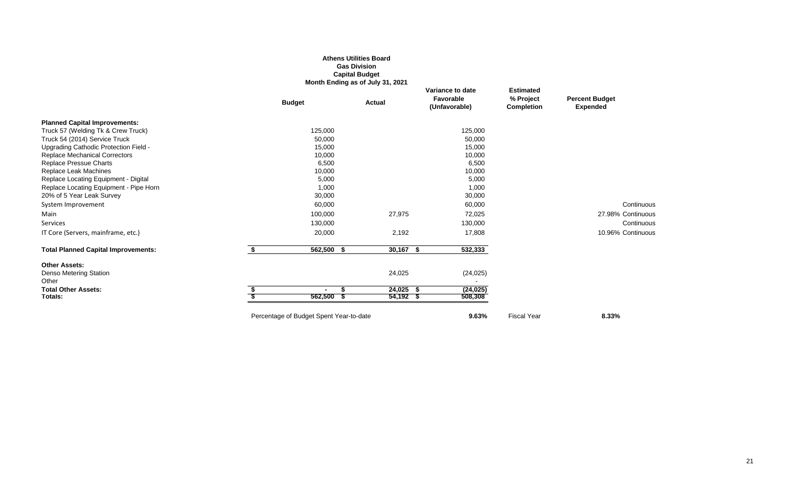### **Athens Utilities Board Gas Division Capital Budget Month Ending as of July 31, 2021**

|                                            |                                         | <b>MOTHT ETRING AS OF JULY 31, ZUZT</b> |             |                                                |                                             |                                          |
|--------------------------------------------|-----------------------------------------|-----------------------------------------|-------------|------------------------------------------------|---------------------------------------------|------------------------------------------|
|                                            | <b>Budget</b>                           | Actual                                  |             | Variance to date<br>Favorable<br>(Unfavorable) | <b>Estimated</b><br>% Project<br>Completion | <b>Percent Budget</b><br><b>Expended</b> |
| <b>Planned Capital Improvements:</b>       |                                         |                                         |             |                                                |                                             |                                          |
| Truck 57 (Welding Tk & Crew Truck)         | 125,000                                 |                                         |             | 125,000                                        |                                             |                                          |
| Truck 54 (2014) Service Truck              | 50,000                                  |                                         |             | 50,000                                         |                                             |                                          |
| Upgrading Cathodic Protection Field -      | 15,000                                  |                                         |             | 15,000                                         |                                             |                                          |
| <b>Replace Mechanical Correctors</b>       | 10,000                                  |                                         |             | 10,000                                         |                                             |                                          |
| <b>Replace Pressue Charts</b>              | 6,500                                   |                                         |             | 6,500                                          |                                             |                                          |
| Replace Leak Machines                      | 10,000                                  |                                         |             | 10,000                                         |                                             |                                          |
| Replace Locating Equipment - Digital       | 5,000                                   |                                         |             | 5,000                                          |                                             |                                          |
| Replace Locating Equipment - Pipe Horn     | 1,000                                   |                                         |             | 1,000                                          |                                             |                                          |
| 20% of 5 Year Leak Survey                  | 30,000                                  |                                         |             | 30,000                                         |                                             |                                          |
| System Improvement                         | 60,000                                  |                                         |             | 60,000                                         |                                             | Continuous                               |
| Main                                       | 100,000                                 |                                         | 27,975      | 72,025                                         |                                             | 27.98% Continuous                        |
| Services                                   | 130,000                                 |                                         |             | 130,000                                        |                                             | Continuous                               |
| IT Core (Servers, mainframe, etc.)         | 20,000                                  |                                         | 2,192       | 17,808                                         |                                             | 10.96% Continuous                        |
| <b>Total Planned Capital Improvements:</b> | $562,500$ \$                            |                                         | $30,167$ \$ | 532,333                                        |                                             |                                          |
| <b>Other Assets:</b>                       |                                         |                                         |             |                                                |                                             |                                          |
| Denso Metering Station<br>Other            |                                         |                                         | 24,025      | (24, 025)                                      |                                             |                                          |
| <b>Total Other Assets:</b>                 | $\overline{\phantom{a}}$                | Æ                                       | $24,025$ \$ | (24, 025)                                      |                                             |                                          |
| Totals:                                    | 562,500                                 | - 5                                     | $54,192$ \$ | 508,308                                        |                                             |                                          |
|                                            | Percentage of Budget Spent Year-to-date |                                         |             | 9.63%                                          | <b>Fiscal Year</b>                          | 8.33%                                    |
|                                            |                                         |                                         |             |                                                |                                             |                                          |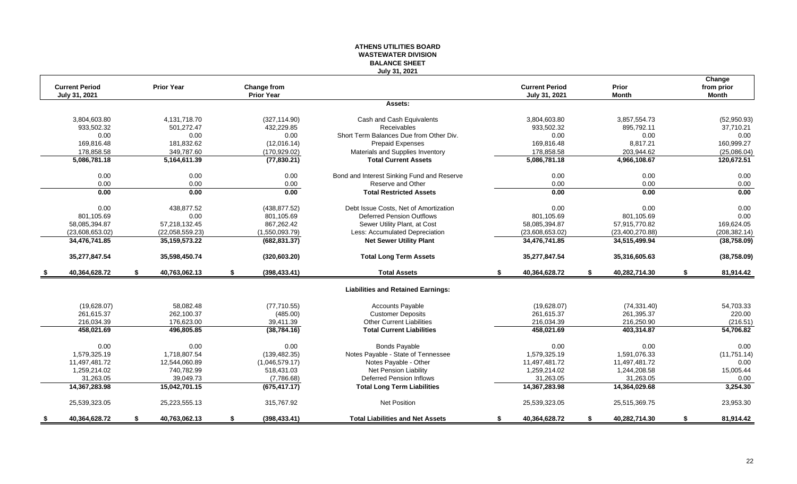### **ATHENS UTILITIES BOARD WASTEWATER DIVISION BALANCE SHEET July 31, 2021**

|    | <b>Current Period</b><br>July 31, 2021 |    | <b>Prior Year</b> | Change from<br><b>Prior Year</b> |                                            | <b>Current Period</b><br>July 31, 2021 | Prior<br><b>Month</b> |    | Change<br>from prior<br><b>Month</b> |
|----|----------------------------------------|----|-------------------|----------------------------------|--------------------------------------------|----------------------------------------|-----------------------|----|--------------------------------------|
|    |                                        |    |                   |                                  | Assets:                                    |                                        |                       |    |                                      |
|    | 3,804,603.80                           |    | 4,131,718.70      | (327, 114.90)                    | Cash and Cash Equivalents                  | 3,804,603.80                           | 3,857,554.73          |    | (52,950.93)                          |
|    | 933,502.32                             |    | 501,272.47        | 432,229.85                       | Receivables                                | 933,502.32                             | 895,792.11            |    | 37,710.21                            |
|    | 0.00                                   |    | 0.00              | 0.00                             | Short Term Balances Due from Other Div.    | 0.00                                   | 0.00                  |    | 0.00                                 |
|    | 169,816.48                             |    | 181,832.62        | (12,016.14)                      | <b>Prepaid Expenses</b>                    | 169,816.48                             | 8,817.21              |    | 160,999.27                           |
|    | 178,858.58                             |    | 349.787.60        | (170, 929.02)                    | Materials and Supplies Inventory           | 178,858.58                             | 203,944.62            |    | (25,086.04)                          |
|    | 5,086,781.18                           |    | 5,164,611.39      | (77, 830.21)                     | <b>Total Current Assets</b>                | 5,086,781.18                           | 4,966,108.67          |    | 120,672.51                           |
|    | 0.00                                   |    | 0.00              | 0.00                             | Bond and Interest Sinking Fund and Reserve | 0.00                                   | 0.00                  |    | 0.00                                 |
|    | 0.00                                   |    | 0.00              | 0.00                             | Reserve and Other                          | 0.00                                   | 0.00                  |    | 0.00                                 |
|    | 0.00                                   |    | 0.00              | 0.00                             | <b>Total Restricted Assets</b>             | 0.00                                   | 0.00                  |    | 0.00                                 |
|    | 0.00                                   |    | 438,877.52        | (438, 877.52)                    | Debt Issue Costs. Net of Amortization      | 0.00                                   | 0.00                  |    | 0.00                                 |
|    | 801,105.69                             |    | 0.00              | 801,105.69                       | <b>Deferred Pension Outflows</b>           | 801,105.69                             | 801,105.69            |    | 0.00                                 |
|    | 58,085,394.87                          |    | 57,218,132.45     | 867,262.42                       | Sewer Utility Plant, at Cost               | 58,085,394.87                          | 57,915,770.82         |    | 169,624.05                           |
|    | (23,608,653.02)                        |    | (22,058,559.23)   | (1,550,093.79)                   | Less: Accumulated Depreciation             | (23,608,653.02)                        | (23,400,270.88)       |    | (208, 382.14)                        |
|    | 34,476,741.85                          |    | 35, 159, 573. 22  | (682, 831.37)                    | <b>Net Sewer Utility Plant</b>             | 34,476,741.85                          | 34,515,499.94         |    | (38,758.09)                          |
|    | 35,277,847.54                          |    | 35,598,450.74     | (320, 603.20)                    | <b>Total Long Term Assets</b>              | 35,277,847.54                          | 35,316,605.63         |    | (38, 758.09)                         |
|    | 40,364,628.72                          | S. | 40,763,062.13     | \$<br>(398, 433.41)              | <b>Total Assets</b>                        | \$<br>40,364,628.72                    | \$<br>40,282,714.30   | S. | 81,914.42                            |
|    |                                        |    |                   |                                  | <b>Liabilities and Retained Earnings:</b>  |                                        |                       |    |                                      |
|    | (19,628.07)                            |    | 58.082.48         | (77, 710.55)                     | <b>Accounts Payable</b>                    | (19,628.07)                            | (74, 331.40)          |    | 54,703.33                            |
|    | 261,615.37                             |    | 262,100.37        | (485.00)                         | <b>Customer Deposits</b>                   | 261,615.37                             | 261,395.37            |    | 220.00                               |
|    | 216,034.39                             |    | 176,623.00        | 39,411.39                        | <b>Other Current Liabilities</b>           | 216,034.39                             | 216,250.90            |    | (216.51)                             |
|    | 458,021.69                             |    | 496,805.85        | (38, 784.16)                     | <b>Total Current Liabilities</b>           | 458,021.69                             | 403,314.87            |    | 54,706.82                            |
|    | 0.00                                   |    | 0.00              | 0.00                             | Bonds Payable                              | 0.00                                   | 0.00                  |    | 0.00                                 |
|    | 1.579.325.19                           |    | 1.718.807.54      | (139, 482.35)                    | Notes Payable - State of Tennessee         | 1.579.325.19                           | 1,591,076.33          |    | (11, 751.14)                         |
|    | 11,497,481.72                          |    | 12,544,060.89     | (1,046,579.17)                   | Notes Payable - Other                      | 11,497,481.72                          | 11,497,481.72         |    | 0.00                                 |
|    | 1,259,214.02                           |    | 740,782.99        | 518,431.03                       | Net Pension Liability                      | 1,259,214.02                           | 1,244,208.58          |    | 15,005.44                            |
|    | 31,263.05                              |    | 39.049.73         | (7,786.68)                       | <b>Deferred Pension Inflows</b>            | 31,263.05                              | 31.263.05             |    | 0.00                                 |
|    | 14,367,283.98                          |    | 15,042,701.15     | (675, 417.17)                    | <b>Total Long Term Liabilities</b>         | 14,367,283.98                          | 14,364,029.68         |    | 3,254.30                             |
|    | 25,539,323.05                          |    | 25,223,555.13     | 315,767.92                       | Net Position                               | 25,539,323.05                          | 25,515,369.75         |    | 23,953.30                            |
| S. | 40,364,628.72                          | \$ | 40,763,062.13     | \$<br>(398, 433.41)              | <b>Total Liabilities and Net Assets</b>    | \$<br>40,364,628.72                    | \$<br>40,282,714.30   | \$ | 81,914.42                            |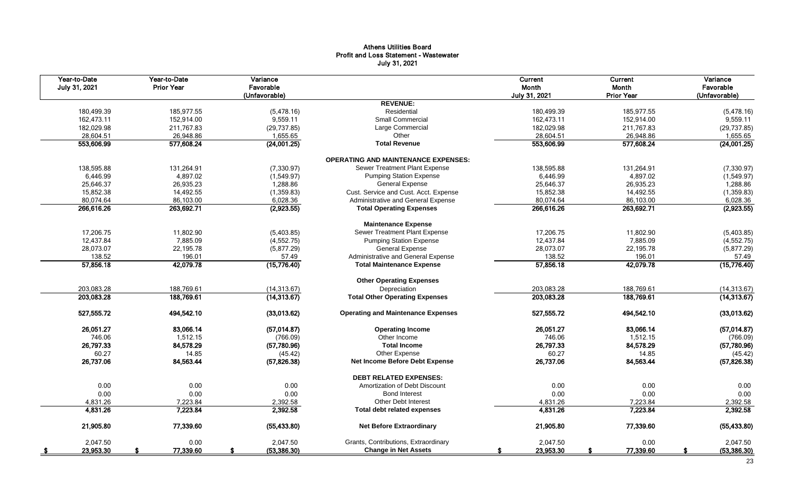## Athens Utilities Board Profit and Loss Statement - Wastewater July 31, 2021

| Year-to-Date<br>July 31, 2021 | Year-to-Date<br><b>Prior Year</b> | Variance<br>Favorable<br>(Unfavorable) |                                            | Current<br>Month<br>July 31, 2021 | <b>Current</b><br>Month<br><b>Prior Year</b> | Variance<br>Favorable<br>(Unfavorable) |
|-------------------------------|-----------------------------------|----------------------------------------|--------------------------------------------|-----------------------------------|----------------------------------------------|----------------------------------------|
|                               |                                   |                                        | <b>REVENUE:</b>                            |                                   |                                              |                                        |
| 180,499.39                    | 185,977.55                        | (5,478.16)                             | Residential                                | 180,499.39                        | 185,977.55                                   | (5,478.16)                             |
| 162,473.11                    | 152,914.00                        | 9,559.11                               | Small Commercial                           | 162,473.11                        | 152,914.00                                   | 9,559.11                               |
| 182,029.98                    | 211,767.83                        | (29, 737.85)                           | Large Commercial                           | 182,029.98                        | 211,767.83                                   | (29, 737.85)                           |
| 28,604.51                     | 26.948.86                         | 1,655.65                               | Other                                      | 28,604.51                         | 26,948.86                                    | 1,655.65                               |
| 553,606.99                    | 577,608.24                        | (24,001.25)                            | <b>Total Revenue</b>                       | 553,606.99                        | 577,608.24                                   | (24,001.25)                            |
|                               |                                   |                                        | <b>OPERATING AND MAINTENANCE EXPENSES:</b> |                                   |                                              |                                        |
| 138,595.88                    | 131,264.91                        | (7, 330.97)                            | Sewer Treatment Plant Expense              | 138,595.88                        | 131,264.91                                   | (7, 330.97)                            |
| 6,446.99                      | 4,897.02                          | (1,549.97)                             | <b>Pumping Station Expense</b>             | 6,446.99                          | 4,897.02                                     | (1,549.97)                             |
| 25,646.37                     | 26,935.23                         | 1,288.86                               | <b>General Expense</b>                     | 25,646.37                         | 26,935.23                                    | 1,288.86                               |
| 15,852.38                     | 14,492.55                         | (1,359.83)                             | Cust. Service and Cust. Acct. Expense      | 15,852.38                         | 14,492.55                                    | (1,359.83)                             |
| 80,074.64                     | 86,103.00                         | 6,028.36                               | Administrative and General Expense         | 80,074.64                         | 86,103.00                                    | 6,028.36                               |
| 266,616.26                    | 263,692.71                        | (2,923.55)                             | <b>Total Operating Expenses</b>            | 266,616.26                        | 263,692.71                                   | (2,923.55)                             |
|                               |                                   |                                        | <b>Maintenance Expense</b>                 |                                   |                                              |                                        |
| 17,206.75                     | 11.802.90                         | (5,403.85)                             | Sewer Treatment Plant Expense              | 17,206.75                         | 11,802.90                                    | (5,403.85)                             |
| 12,437.84                     | 7,885.09                          | (4, 552.75)                            | <b>Pumping Station Expense</b>             | 12,437.84                         | 7,885.09                                     | (4, 552.75)                            |
| 28,073.07                     | 22,195.78                         | (5,877.29)                             | <b>General Expense</b>                     | 28,073.07                         | 22,195.78                                    | (5,877.29)                             |
| 138.52                        | 196.01                            | 57.49                                  | Administrative and General Expense         | 138.52                            | 196.01                                       | 57.49                                  |
| 57,856.18                     | 42,079.78                         | (15,776.40)                            | <b>Total Maintenance Expense</b>           | 57,856.18                         | 42,079.78                                    | (15,776.40)                            |
|                               |                                   |                                        | <b>Other Operating Expenses</b>            |                                   |                                              |                                        |
| 203,083.28                    | 188,769.61                        | (14, 313.67)                           | Depreciation                               | 203,083.28                        | 188,769.61                                   | (14, 313.67)                           |
| 203,083.28                    | 188,769.61                        | (14, 313.67)                           | <b>Total Other Operating Expenses</b>      | 203,083.28                        | 188,769.61                                   | (14, 313.67)                           |
| 527,555.72                    | 494,542.10                        | (33,013.62)                            | <b>Operating and Maintenance Expenses</b>  | 527,555.72                        | 494,542.10                                   | (33,013.62)                            |
| 26,051.27                     | 83,066.14                         | (57,014.87)                            | <b>Operating Income</b>                    | 26,051.27                         | 83,066.14                                    | (57,014.87)                            |
| 746.06                        | 1,512.15                          | (766.09)                               | Other Income                               | 746.06                            | 1,512.15                                     | (766.09)                               |
| 26,797.33                     | 84,578.29                         | (57,780.96)                            | <b>Total Income</b>                        | 26,797.33                         | 84,578.29                                    | (57,780.96)                            |
| 60.27                         | 14.85                             | (45.42)                                | Other Expense                              | 60.27                             | 14.85                                        | (45.42)                                |
| 26,737.06                     | 84,563.44                         | (57, 826.38)                           | Net Income Before Debt Expense             | 26,737.06                         | 84,563.44                                    | (57, 826.38)                           |
|                               |                                   |                                        | <b>DEBT RELATED EXPENSES:</b>              |                                   |                                              |                                        |
| 0.00                          | 0.00                              | 0.00                                   | Amortization of Debt Discount              | 0.00                              | 0.00                                         | 0.00                                   |
| 0.00                          | 0.00                              | 0.00                                   | <b>Bond Interest</b>                       | 0.00                              | 0.00                                         | 0.00                                   |
| 4,831.26                      | 7,223.84                          | 2,392.58                               | <b>Other Debt Interest</b>                 | 4,831.26                          | 7,223.84                                     | 2,392.58                               |
| 4,831.26                      | 7,223.84                          | 2,392.58                               | Total debt related expenses                | 4,831.26                          | 7,223.84                                     | 2,392.58                               |
| 21,905.80                     | 77,339.60                         | (55, 433.80)                           | <b>Net Before Extraordinary</b>            | 21,905.80                         | 77,339.60                                    | (55, 433.80)                           |
| 2.047.50                      | 0.00                              | 2.047.50                               | Grants, Contributions, Extraordinary       | 2,047.50                          | 0.00                                         | 2.047.50                               |
| 23,953.30                     | 77,339.60                         | (53, 386.30)                           | <b>Change in Net Assets</b>                | 23,953.30                         | 77,339.60                                    | (53, 386.30)                           |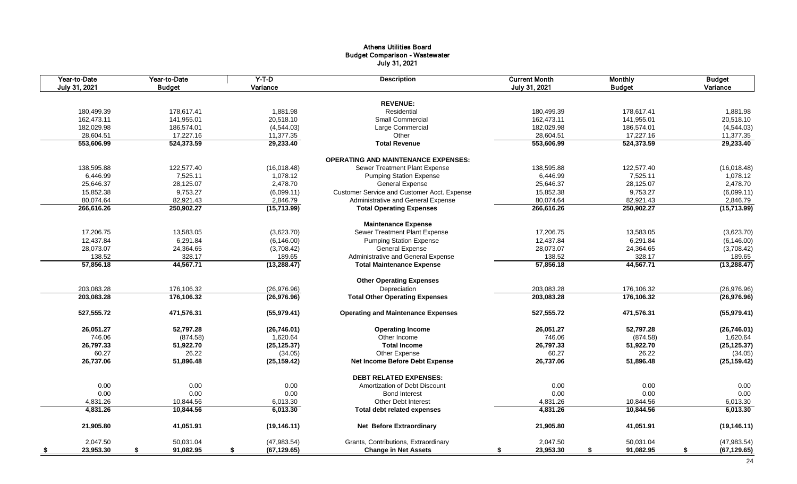## Athens Utilities Board Budget Comparison - Wastewater July 31, 2021

| Year-to-Date<br>July 31, 2021 | Year-to-Date<br><b>Budget</b> | $Y-T-D$<br>Variance | <b>Description</b>                          | <b>Current Month</b><br>July 31, 2021 | <b>Monthly</b><br><b>Budget</b> | <b>Budget</b><br>Variance |
|-------------------------------|-------------------------------|---------------------|---------------------------------------------|---------------------------------------|---------------------------------|---------------------------|
|                               |                               |                     |                                             |                                       |                                 |                           |
|                               |                               |                     | <b>REVENUE:</b>                             |                                       |                                 |                           |
| 180,499.39                    | 178,617.41                    | 1,881.98            | Residential                                 | 180,499.39                            | 178,617.41                      | 1,881.98                  |
| 162,473.11                    | 141,955.01                    | 20,518.10           | Small Commercial                            | 162,473.11                            | 141,955.01                      | 20,518.10                 |
| 182,029.98                    | 186,574.01                    | (4,544.03)          | Large Commercial                            | 182,029.98                            | 186,574.01                      | (4,544.03)                |
| 28,604.51                     | 17,227.16                     | 11,377.35           | Other                                       | 28,604.51                             | 17,227.16                       | 11,377.35                 |
| 553,606.99                    | 524,373.59                    | 29,233.40           | <b>Total Revenue</b>                        | 553,606.99                            | 524,373.59                      | 29,233.40                 |
|                               |                               |                     | <b>OPERATING AND MAINTENANCE EXPENSES:</b>  |                                       |                                 |                           |
| 138,595.88                    | 122,577.40                    | (16,018.48)         | Sewer Treatment Plant Expense               | 138,595.88                            | 122,577.40                      | (16,018.48)               |
| 6,446.99                      | 7,525.11                      | 1,078.12            | <b>Pumping Station Expense</b>              | 6,446.99                              | 7,525.11                        | 1,078.12                  |
| 25,646.37                     | 28,125.07                     | 2,478.70            | <b>General Expense</b>                      | 25,646.37                             | 28,125.07                       | 2,478.70                  |
| 15,852.38                     | 9,753.27                      | (6,099.11)          | Customer Service and Customer Acct. Expense | 15,852.38                             | 9,753.27                        | (6,099.11)                |
| 80,074.64                     | 82,921.43                     | 2,846.79            | Administrative and General Expense          | 80,074.64                             | 82,921.43                       | 2,846.79                  |
| 266,616.26                    | 250,902.27                    | (15, 713.99)        | <b>Total Operating Expenses</b>             | 266,616.26                            | 250,902.27                      | (15, 713.99)              |
|                               |                               |                     | <b>Maintenance Expense</b>                  |                                       |                                 |                           |
| 17,206.75                     | 13,583.05                     | (3,623.70)          | Sewer Treatment Plant Expense               | 17,206.75                             | 13,583.05                       | (3,623.70)                |
| 12,437.84                     | 6,291.84                      | (6, 146.00)         | <b>Pumping Station Expense</b>              | 12,437.84                             | 6,291.84                        | (6, 146.00)               |
| 28,073.07                     | 24,364.65                     | (3,708.42)          | <b>General Expense</b>                      | 28,073.07                             | 24,364.65                       | (3,708.42)                |
| 138.52                        | 328.17                        | 189.65              | Administrative and General Expense          | 138.52                                | 328.17                          | 189.65                    |
| 57,856.18                     | 44,567.71                     | (13, 288.47)        | <b>Total Maintenance Expense</b>            | 57,856.18                             | 44,567.71                       | (13, 288.47)              |
|                               |                               |                     |                                             |                                       |                                 |                           |
|                               |                               |                     | <b>Other Operating Expenses</b>             |                                       |                                 |                           |
| 203,083.28                    | 176,106.32                    | (26, 976.96)        | Depreciation                                | 203,083.28                            | 176,106.32                      | (26, 976.96)              |
| 203,083.28                    | 176,106.32                    | (26, 976.96)        | <b>Total Other Operating Expenses</b>       | 203,083.28                            | 176,106.32                      | (26, 976.96)              |
| 527,555.72                    | 471,576.31                    | (55,979.41)         | <b>Operating and Maintenance Expenses</b>   | 527,555.72                            | 471,576.31                      | (55,979.41)               |
| 26,051.27                     | 52,797.28                     | (26, 746.01)        | <b>Operating Income</b>                     | 26,051.27                             | 52,797.28                       | (26,746.01)               |
| 746.06                        | (874.58)                      | 1,620.64            | Other Income                                | 746.06                                | (874.58)                        | 1,620.64                  |
| 26,797.33                     | 51,922.70                     | (25, 125.37)        | <b>Total Income</b>                         | 26,797.33                             | 51,922.70                       | (25, 125.37)              |
| 60.27                         | 26.22                         | (34.05)             | Other Expense                               | 60.27                                 | 26.22                           | (34.05)                   |
| 26,737.06                     | 51,896.48                     | (25, 159.42)        | Net Income Before Debt Expense              | 26,737.06                             | 51,896.48                       | (25, 159.42)              |
|                               |                               |                     | <b>DEBT RELATED EXPENSES:</b>               |                                       |                                 |                           |
|                               |                               |                     |                                             |                                       |                                 |                           |
| 0.00                          | 0.00                          | 0.00                | Amortization of Debt Discount               | 0.00                                  | 0.00                            | 0.00                      |
| 0.00                          | 0.00                          | 0.00                | <b>Bond Interest</b>                        | 0.00                                  | 0.00                            | 0.00                      |
| 4,831.26                      | 10,844.56                     | 6,013.30            | <b>Other Debt Interest</b>                  | 4,831.26                              | 10,844.56                       | 6,013.30                  |
| 4,831.26                      | 10,844.56                     | 6,013.30            | <b>Total debt related expenses</b>          | 4,831.26                              | 10,844.56                       | 6,013.30                  |
| 21,905.80                     | 41,051.91                     | (19, 146.11)        | <b>Net Before Extraordinary</b>             | 21,905.80                             | 41,051.91                       | (19, 146.11)              |
| 2,047.50                      | 50,031.04                     | (47, 983.54)        | Grants, Contributions, Extraordinary        | 2,047.50                              | 50,031.04                       | (47,983.54)               |
| 23,953.30<br>- \$             | 91,082.95<br>\$               | (67, 129.65)<br>\$  | <b>Change in Net Assets</b>                 | 23,953.30<br>\$                       | \$<br>91,082.95                 | \$<br>(67, 129.65)        |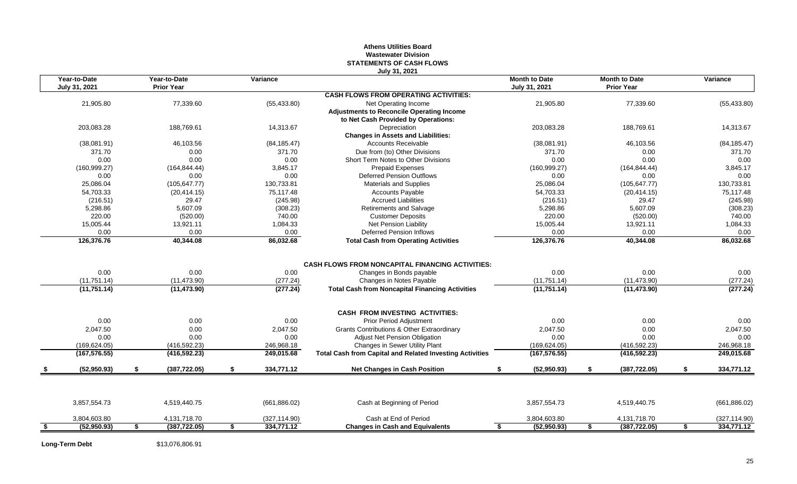### **Athens Utilities Board Wastewater Division STATEMENTS OF CASH FLOWS July 31, 2021**

| Year-to-Date<br>July 31, 2021 | Year-to-Date<br><b>Prior Year</b> | Variance         |                                                                 | <b>Month to Date</b><br>July 31, 2021 |    | <b>Month to Date</b><br><b>Prior Year</b> |     | Variance      |
|-------------------------------|-----------------------------------|------------------|-----------------------------------------------------------------|---------------------------------------|----|-------------------------------------------|-----|---------------|
|                               |                                   |                  | <b>CASH FLOWS FROM OPERATING ACTIVITIES:</b>                    |                                       |    |                                           |     |               |
| 21,905.80                     | 77,339.60                         | (55, 433.80)     | Net Operating Income                                            | 21,905.80                             |    | 77,339.60                                 |     | (55, 433.80)  |
|                               |                                   |                  | <b>Adjustments to Reconcile Operating Income</b>                |                                       |    |                                           |     |               |
|                               |                                   |                  | to Net Cash Provided by Operations:                             |                                       |    |                                           |     |               |
| 203.083.28                    | 188.769.61                        | 14,313.67        | Depreciation                                                    | 203.083.28                            |    | 188.769.61                                |     | 14,313.67     |
|                               |                                   |                  | <b>Changes in Assets and Liabilities:</b>                       |                                       |    |                                           |     |               |
| (38,081.91)                   | 46,103.56                         | (84, 185.47)     | <b>Accounts Receivable</b>                                      | (38,081.91)                           |    | 46,103.56                                 |     | (84, 185.47)  |
| 371.70                        | 0.00                              | 371.70           | Due from (to) Other Divisions                                   | 371.70                                |    | 0.00                                      |     | 371.70        |
| 0.00                          | 0.00                              | 0.00             | Short Term Notes to Other Divisions                             | 0.00                                  |    | 0.00                                      |     | 0.00          |
| (160, 999.27)                 | (164, 844.44)                     | 3.845.17         | <b>Prepaid Expenses</b>                                         | (160, 999.27)                         |    | (164, 844.44)                             |     | 3,845.17      |
| 0.00                          | 0.00                              | 0.00             | <b>Deferred Pension Outflows</b>                                | 0.00                                  |    | 0.00                                      |     | 0.00          |
| 25,086.04                     | (105, 647.77)                     | 130,733.81       | <b>Materials and Supplies</b>                                   | 25,086.04                             |    | (105, 647.77)                             |     | 130,733.81    |
| 54,703.33                     | (20, 414.15)                      | 75,117.48        | <b>Accounts Payable</b>                                         | 54,703.33                             |    | (20, 414.15)                              |     | 75,117.48     |
| (216.51)                      | 29.47                             | (245.98)         | <b>Accrued Liabilities</b>                                      | (216.51)                              |    | 29.47                                     |     | (245.98)      |
| 5,298.86                      | 5.607.09                          | (308.23)         | Retirements and Salvage                                         | 5,298.86                              |    | 5,607.09                                  |     | (308.23)      |
| 220.00                        | (520.00)                          | 740.00           | <b>Customer Deposits</b>                                        | 220.00                                |    | (520.00)                                  |     | 740.00        |
| 15,005.44                     | 13,921.11                         | 1,084.33         | Net Pension Liability                                           | 15,005.44                             |    | 13,921.11                                 |     | 1,084.33      |
| 0.00                          | 0.00                              | 0.00             | <b>Deferred Pension Inflows</b>                                 | 0.00                                  |    | 0.00                                      |     | 0.00          |
| 126,376.76                    | 40,344.08                         | 86,032.68        | <b>Total Cash from Operating Activities</b>                     | 126,376.76                            |    | 40,344.08                                 |     | 86,032.68     |
|                               |                                   |                  |                                                                 |                                       |    |                                           |     |               |
|                               |                                   |                  | <b>CASH FLOWS FROM NONCAPITAL FINANCING ACTIVITIES:</b>         |                                       |    |                                           |     |               |
| 0.00                          | 0.00                              | 0.00             | Changes in Bonds payable                                        | 0.00                                  |    | 0.00                                      |     | 0.00          |
| (11, 751.14)                  | (11, 473.90)                      | (277.24)         | Changes in Notes Payable                                        | (11, 751.14)                          |    | (11, 473.90)                              |     | (277.24)      |
| (11,751.14)                   | (11, 473.90)                      | (277.24)         | <b>Total Cash from Noncapital Financing Activities</b>          | (11,751.14)                           |    | (11, 473.90)                              |     | (277.24)      |
|                               |                                   |                  | <b>CASH FROM INVESTING ACTIVITIES:</b>                          |                                       |    |                                           |     |               |
| 0.00                          | 0.00                              | 0.00             |                                                                 | 0.00                                  |    | 0.00                                      |     | 0.00          |
|                               |                                   |                  | Prior Period Adjustment                                         |                                       |    |                                           |     |               |
| 2,047.50                      | 0.00                              | 2,047.50         | Grants Contributions & Other Extraordinary                      | 2,047.50                              |    | 0.00                                      |     | 2,047.50      |
| 0.00                          | 0.00                              | 0.00             | <b>Adjust Net Pension Obligation</b>                            | 0.00                                  |    | 0.00                                      |     | 0.00          |
| (169, 624.05)                 | (416, 592.23)                     | 246,968.18       | Changes in Sewer Utility Plant                                  | (169, 624.05)                         |    | (416, 592.23)                             |     | 246,968.18    |
| (167, 576.55)                 | (416, 592.23)                     | 249,015.68       | <b>Total Cash from Capital and Related Investing Activities</b> | (167, 576.55)                         |    | (416, 592.23)                             |     | 249,015.68    |
| (52,950.93)                   | (387, 722.05)                     | \$<br>334,771.12 | <b>Net Changes in Cash Position</b>                             | (52,950.93)                           | S. | (387, 722.05)                             | \$. | 334,771.12    |
|                               |                                   |                  |                                                                 |                                       |    |                                           |     |               |
|                               | 4,519,440.75                      | (661, 886.02)    | Cash at Beginning of Period                                     | 3,857,554.73                          |    | 4,519,440.75                              |     | (661, 886.02) |
| 3,857,554.73                  |                                   |                  |                                                                 |                                       |    |                                           |     |               |
| 3,804,603.80                  | 4,131,718.70                      | (327, 114.90)    | Cash at End of Period                                           | 3,804,603.80                          |    | 4,131,718.70                              |     | (327, 114.90) |

**Long-Term Debt** \$13,076,806.91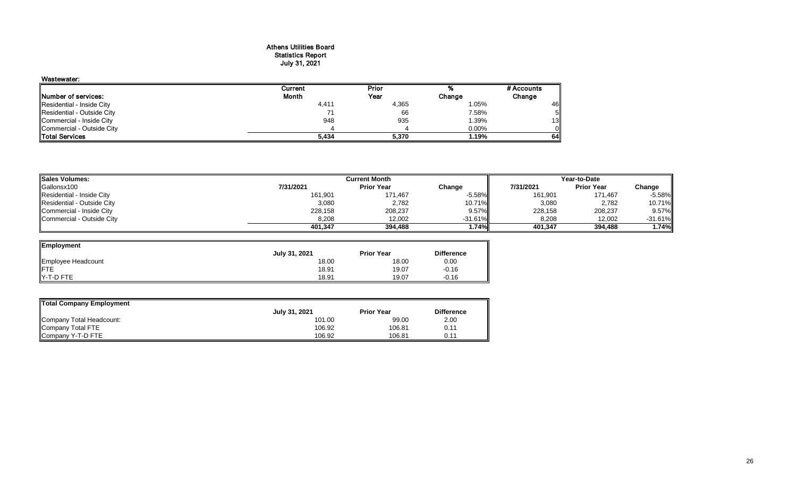#### Athens Utilities Board Statistics Report July 31, 2021

| Wastewater:                |         |       |        |            |
|----------------------------|---------|-------|--------|------------|
|                            | Current | Prior |        | # Accounts |
| Number of services:        | Month   | Year  | Change | Change     |
| Residential - Inside City  | 4,411   | 4,365 | 1.05%  | 46         |
| Residential - Outside City |         | 66    | 7.58%  | 5Ι         |
| Commercial - Inside City   | 948     | 935   | 1.39%  | 13         |
| Commercial - Outside City  |         |       | 0.00%  | Oll        |
| <b>Total Services</b>      | 5,434   | 5,370 | 1.19%  | 64         |

| Sales Volumes:             |           | Year-to-Date      |            |           |                   |           |
|----------------------------|-----------|-------------------|------------|-----------|-------------------|-----------|
| Gallonsx100                | 7/31/2021 | <b>Prior Year</b> | Change     | 7/31/2021 | <b>Prior Year</b> | Change    |
| Residential - Inside City  | 161,901   | 171,467           | $-5.58%$   | 161,901   | 171.467           | -5.58%"   |
| Residential - Outside City | 3,080     | 2,782             | 10.71%     | 3,080     | 2,782             | 10.71%    |
| Commercial - Inside City   | 228,158   | 208,237           | 9.57%      | 228,158   | 208,237           | 9.57%     |
| Commercial - Outside City  | 8,208     | 12,002            | $-31.61\%$ | 8,208     | 12,002            | $-31.61%$ |
|                            | 401,347   | 394.488           | 1.74%      | 401,347   | 394,488           | 1.74%     |

—

| Employment         |               |                   |                   |
|--------------------|---------------|-------------------|-------------------|
|                    | July 31, 2021 | <b>Prior Year</b> | <b>Difference</b> |
| Employee Headcount | 18.00         | 18.00             | 0.00              |
|                    | 18.91         | 19.07             | $-0.16$           |
| <b>Y-T-D FTE</b>   | 18.91         | 19.07             | $-0.16$           |

| <b>Total Company Employment</b> |               |                   |                   |
|---------------------------------|---------------|-------------------|-------------------|
|                                 | July 31, 2021 | <b>Prior Year</b> | <b>Difference</b> |
| Company Total Headcount:        | 101.00        | 99.00             | 2.00              |
| Company Total FTE               | 106.92        | 106.81            | 0.11              |
| Company Y-T-D FTE               | 106.92        | 106.81            | 0.11              |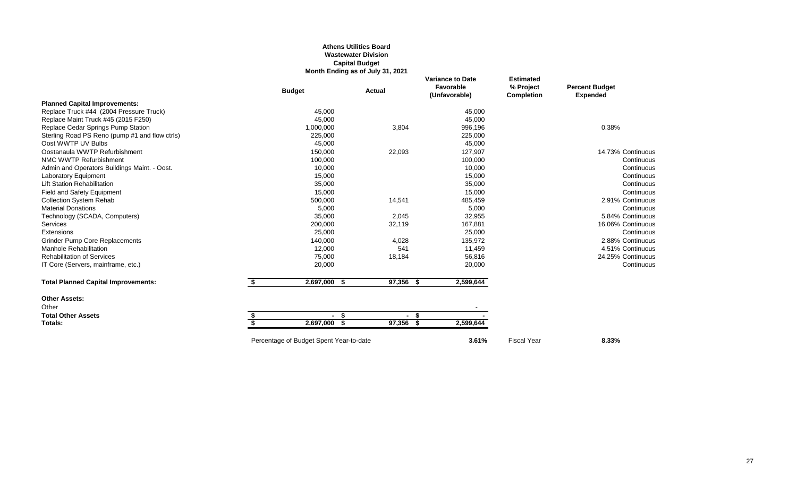### **Athens Utilities Board Wastewater Division Capital Budget Month Ending as of July 31, 2021**

|                                                | <b>Budget</b>      | <b>Actual</b> | <b>Variance to Date</b><br>Favorable<br>(Unfavorable) | <b>Estimated</b><br>% Project<br><b>Completion</b> | <b>Percent Budget</b><br><b>Expended</b> |
|------------------------------------------------|--------------------|---------------|-------------------------------------------------------|----------------------------------------------------|------------------------------------------|
| <b>Planned Capital Improvements:</b>           |                    |               |                                                       |                                                    |                                          |
| Replace Truck #44 (2004 Pressure Truck)        | 45,000             |               | 45,000                                                |                                                    |                                          |
| Replace Maint Truck #45 (2015 F250)            | 45,000             |               | 45,000                                                |                                                    |                                          |
| Replace Cedar Springs Pump Station             | 1,000,000          | 3,804         | 996,196                                               |                                                    | 0.38%                                    |
| Sterling Road PS Reno (pump #1 and flow ctrls) | 225,000            |               | 225,000                                               |                                                    |                                          |
| Oost WWTP UV Bulbs                             | 45,000             |               | 45,000                                                |                                                    |                                          |
| Oostanaula WWTP Refurbishment                  | 150,000            | 22,093        | 127,907                                               |                                                    | 14.73% Continuous                        |
| NMC WWTP Refurbishment                         | 100,000            |               | 100,000                                               |                                                    | Continuous                               |
| Admin and Operators Buildings Maint. - Oost.   | 10,000             |               | 10,000                                                |                                                    | Continuous                               |
| <b>Laboratory Equipment</b>                    | 15,000             |               | 15,000                                                |                                                    | Continuous                               |
| <b>Lift Station Rehabilitation</b>             | 35,000             |               | 35,000                                                |                                                    | Continuous                               |
| Field and Safety Equipment                     | 15,000             |               | 15,000                                                |                                                    | Continuous                               |
| <b>Collection System Rehab</b>                 | 500,000            | 14,541        | 485,459                                               |                                                    | 2.91% Continuous                         |
| <b>Material Donations</b>                      | 5,000              |               | 5,000                                                 |                                                    | Continuous                               |
| Technology (SCADA, Computers)                  | 35,000             | 2,045         | 32,955                                                |                                                    | 5.84% Continuous                         |
| Services                                       | 200,000            | 32,119        | 167,881                                               |                                                    | 16.06% Continuous                        |
| <b>Extensions</b>                              | 25,000             |               | 25,000                                                |                                                    | Continuous                               |
| <b>Grinder Pump Core Replacements</b>          | 140,000            | 4,028         | 135,972                                               |                                                    | 2.88% Continuous                         |
| Manhole Rehabilitation                         | 12,000             | 541           | 11,459                                                |                                                    | 4.51% Continuous                         |
| <b>Rehabilitation of Services</b>              | 75,000             | 18,184        | 56,816                                                |                                                    | 24.25% Continuous                        |
| IT Core (Servers, mainframe, etc.)             | 20,000             |               | 20,000                                                |                                                    | Continuous                               |
| <b>Total Planned Capital Improvements:</b>     | 2,697,000 \$       | 97,356 \$     | 2,599,644                                             |                                                    |                                          |
| <b>Other Assets:</b>                           |                    |               |                                                       |                                                    |                                          |
| Other                                          |                    |               |                                                       |                                                    |                                          |
| <b>Total Other Assets</b>                      | - \$               | - \$          |                                                       |                                                    |                                          |
| Totals:                                        | \$<br>2,697,000 \$ | 97,356 \$     | 2,599,644                                             |                                                    |                                          |

Percentage of Budget Spent Year-to-date **3.61%** Fiscal Year **8.33%**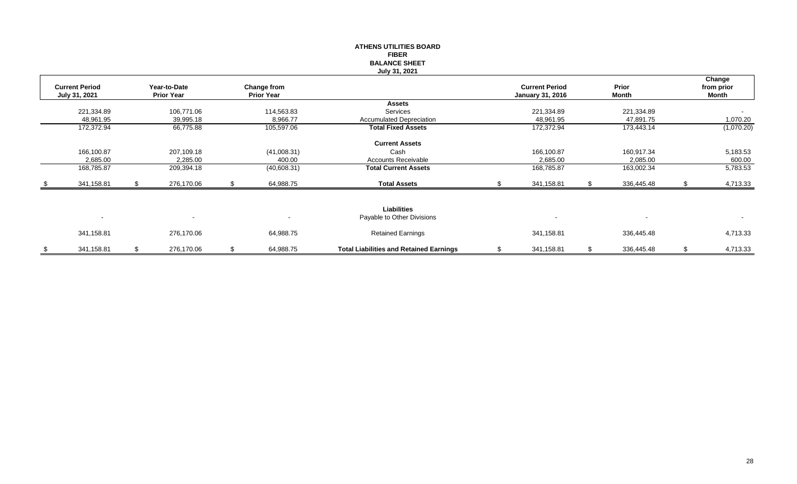|                                        |     |                                   |    |                                  | <b>ATHENS UTILITIES BOARD</b><br><b>FIBER</b><br><b>BALANCE SHEET</b><br>July 31, 2021 |                                                  |                          |    |                               |
|----------------------------------------|-----|-----------------------------------|----|----------------------------------|----------------------------------------------------------------------------------------|--------------------------------------------------|--------------------------|----|-------------------------------|
| <b>Current Period</b><br>July 31, 2021 |     | Year-to-Date<br><b>Prior Year</b> |    | Change from<br><b>Prior Year</b> |                                                                                        | <b>Current Period</b><br><b>January 31, 2016</b> | Prior<br><b>Month</b>    |    | Change<br>from prior<br>Month |
|                                        |     | 106,771.06                        |    |                                  | <b>Assets</b><br>Services                                                              |                                                  |                          |    |                               |
| 221,334.89<br>48,961.95                |     | 39,995.18                         |    | 114,563.83<br>8,966.77           | <b>Accumulated Depreciation</b>                                                        | 221,334.89<br>48,961.95                          | 221,334.89<br>47,891.75  |    | 1,070.20                      |
| 172,372.94                             |     | 66,775.88                         |    | 105,597.06                       | <b>Total Fixed Assets</b>                                                              | 172,372.94                                       | 173,443.14               |    | (1,070.20)                    |
|                                        |     |                                   |    |                                  | <b>Current Assets</b>                                                                  |                                                  |                          |    |                               |
| 166,100.87                             |     | 207,109.18                        |    | (41,008.31)                      | Cash                                                                                   | 166,100.87                                       | 160,917.34               |    | 5,183.53                      |
| 2,685.00                               |     | 2,285.00                          |    | 400.00                           | <b>Accounts Receivable</b>                                                             | 2,685.00                                         | 2,085.00                 |    | 600.00                        |
| 168,785.87                             |     | 209,394.18                        |    | (40,608.31)                      | <b>Total Current Assets</b>                                                            | 168,785.87                                       | 163,002.34               |    | 5,783.53                      |
| 341,158.81                             | -SS | 276,170.06                        | S. | 64,988.75                        | <b>Total Assets</b>                                                                    | 341,158.81                                       | 336,445.48               | S. | 4,713.33                      |
|                                        |     |                                   |    |                                  | Liabilities                                                                            |                                                  |                          |    |                               |
| $\sim$                                 |     |                                   |    |                                  | Payable to Other Divisions                                                             |                                                  | $\overline{\phantom{a}}$ |    | $\sim$                        |
| 341,158.81                             |     | 276,170.06                        |    | 64,988.75                        | <b>Retained Earnings</b>                                                               | 341,158.81                                       | 336,445.48               |    | 4,713.33                      |
| \$<br>341,158.81                       | \$  | 276,170.06                        | \$ | 64,988.75                        | <b>Total Liabilities and Retained Earnings</b>                                         | \$<br>341,158.81                                 | \$<br>336,445.48         | \$ | 4,713.33                      |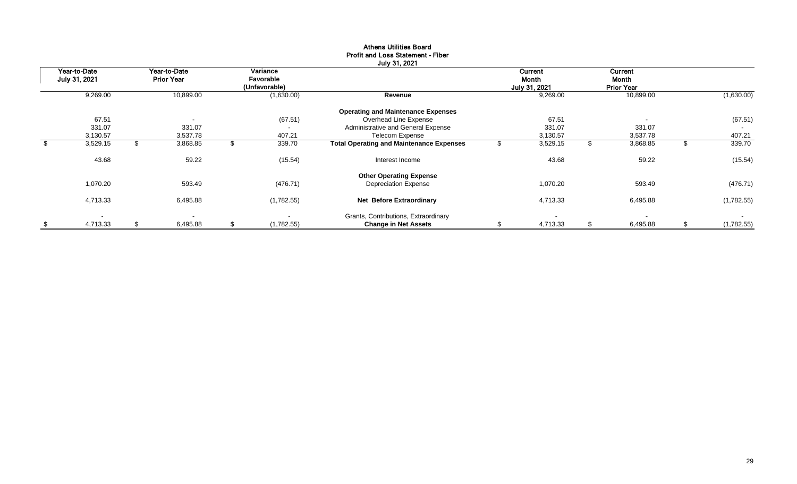| Year-to-Date   | Year-to-Date             | Variance                 |                                                 |    | Current                  |    | <b>Current</b>           |    |            |
|----------------|--------------------------|--------------------------|-------------------------------------------------|----|--------------------------|----|--------------------------|----|------------|
| July 31, 2021  | <b>Prior Year</b>        | Favorable                |                                                 |    | Month                    |    | Month                    |    |            |
|                |                          | (Unfavorable)            |                                                 |    | July 31, 2021            |    | <b>Prior Year</b>        |    |            |
| 9,269.00       | 10,899.00                | (1,630.00)               | Revenue                                         |    | 9,269.00                 |    | 10,899.00                |    | (1,630.00) |
|                |                          |                          | <b>Operating and Maintenance Expenses</b>       |    |                          |    |                          |    |            |
| 67.51          | $\overline{\phantom{a}}$ | (67.51)                  | Overhead Line Expense                           |    | 67.51                    |    | $\overline{\phantom{a}}$ |    | (67.51)    |
| 331.07         | 331.07                   | $\overline{\phantom{a}}$ | Administrative and General Expense              |    | 331.07                   |    | 331.07                   |    |            |
| 3,130.57       | 3,537.78                 | 407.21                   | Telecom Expense                                 |    | 3,130.57                 |    | 3,537.78                 |    | 407.21     |
| 3,529.15       | 3,868.85                 | 339.70                   | <b>Total Operating and Maintenance Expenses</b> |    | 3,529.15                 | J. | 3,868.85                 | J. | 339.70     |
| 43.68          | 59.22                    | (15.54)                  | Interest Income                                 |    | 43.68                    |    | 59.22                    |    | (15.54)    |
|                |                          |                          | <b>Other Operating Expense</b>                  |    |                          |    |                          |    |            |
| 1,070.20       | 593.49                   | (476.71)                 | <b>Depreciation Expense</b>                     |    | 1,070.20                 |    | 593.49                   |    | (476.71)   |
| 4,713.33       | 6,495.88                 | (1,782.55)               | Net Before Extraordinary                        |    | 4,713.33                 |    | 6,495.88                 |    | (1,782.55) |
|                |                          |                          | Grants, Contributions, Extraordinary            |    | $\overline{\phantom{a}}$ |    | $\blacksquare$           |    | $\sim$     |
| \$<br>4,713.33 | \$<br>6,495.88           | \$<br>(1,782.55)         | <b>Change in Net Assets</b>                     | S. | 4,713.33                 | \$ | 6,495.88                 | \$ | (1,782.55) |

## Athens Utilities Board Profit and Loss Statement - Fiber